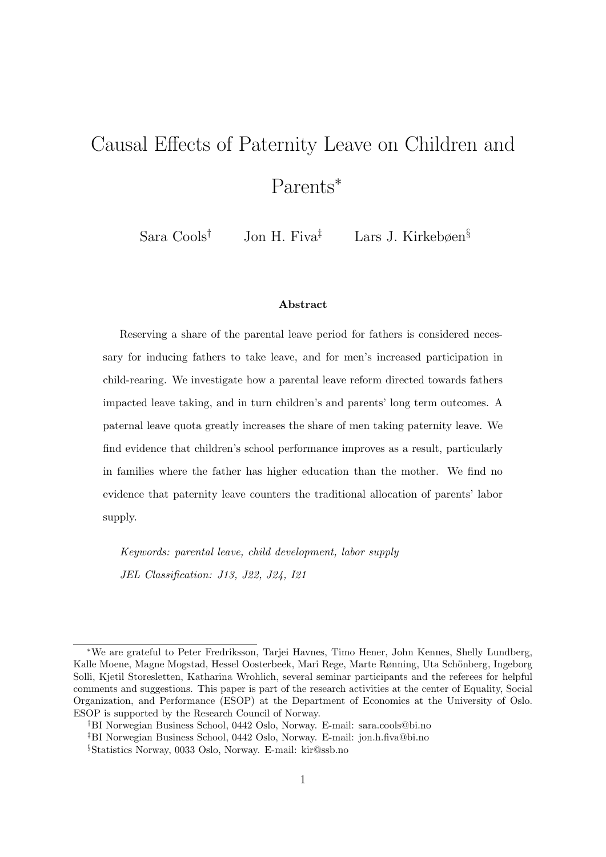# Causal Effects of Paternity Leave on Children and Parents<sup>∗</sup>

Sara Cools† Jon H. Fiva‡ Lars J. Kirkebøen§

#### Abstract

Reserving a share of the parental leave period for fathers is considered necessary for inducing fathers to take leave, and for men's increased participation in child-rearing. We investigate how a parental leave reform directed towards fathers impacted leave taking, and in turn children's and parents' long term outcomes. A paternal leave quota greatly increases the share of men taking paternity leave. We find evidence that children's school performance improves as a result, particularly in families where the father has higher education than the mother. We find no evidence that paternity leave counters the traditional allocation of parents' labor supply.

Keywords: parental leave, child development, labor supply JEL Classification: J13, J22, J24, I21

<sup>∗</sup>We are grateful to Peter Fredriksson, Tarjei Havnes, Timo Hener, John Kennes, Shelly Lundberg, Kalle Moene, Magne Mogstad, Hessel Oosterbeek, Mari Rege, Marte Rønning, Uta Schönberg, Ingeborg Solli, Kjetil Storesletten, Katharina Wrohlich, several seminar participants and the referees for helpful comments and suggestions. This paper is part of the research activities at the center of Equality, Social Organization, and Performance (ESOP) at the Department of Economics at the University of Oslo. ESOP is supported by the Research Council of Norway.

<sup>†</sup>BI Norwegian Business School, 0442 Oslo, Norway. E-mail: sara.cools@bi.no

<sup>‡</sup>BI Norwegian Business School, 0442 Oslo, Norway. E-mail: jon.h.fiva@bi.no

<sup>§</sup>Statistics Norway, 0033 Oslo, Norway. E-mail: kir@ssb.no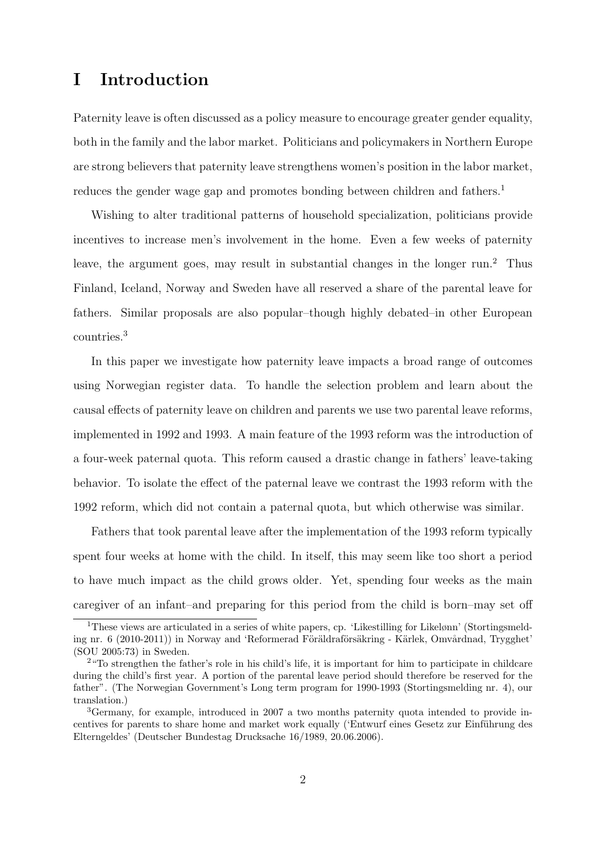# I Introduction

Paternity leave is often discussed as a policy measure to encourage greater gender equality, both in the family and the labor market. Politicians and policymakers in Northern Europe are strong believers that paternity leave strengthens women's position in the labor market, reduces the gender wage gap and promotes bonding between children and fathers.<sup>1</sup>

Wishing to alter traditional patterns of household specialization, politicians provide incentives to increase men's involvement in the home. Even a few weeks of paternity leave, the argument goes, may result in substantial changes in the longer run.<sup>2</sup> Thus Finland, Iceland, Norway and Sweden have all reserved a share of the parental leave for fathers. Similar proposals are also popular–though highly debated–in other European countries.<sup>3</sup>

In this paper we investigate how paternity leave impacts a broad range of outcomes using Norwegian register data. To handle the selection problem and learn about the causal effects of paternity leave on children and parents we use two parental leave reforms, implemented in 1992 and 1993. A main feature of the 1993 reform was the introduction of a four-week paternal quota. This reform caused a drastic change in fathers' leave-taking behavior. To isolate the effect of the paternal leave we contrast the 1993 reform with the 1992 reform, which did not contain a paternal quota, but which otherwise was similar.

Fathers that took parental leave after the implementation of the 1993 reform typically spent four weeks at home with the child. In itself, this may seem like too short a period to have much impact as the child grows older. Yet, spending four weeks as the main caregiver of an infant–and preparing for this period from the child is born–may set off

<sup>1</sup>These views are articulated in a series of white papers, cp. 'Likestilling for Likelønn' (Stortingsmelding nr. 6 (2010-2011)) in Norway and 'Reformerad Föräldraförsäkring - Kärlek, Omvårdnad, Trygghet' (SOU 2005:73) in Sweden.

<sup>&</sup>lt;sup>2</sup>"To strengthen the father's role in his child's life, it is important for him to participate in childcare during the child's first year. A portion of the parental leave period should therefore be reserved for the father". (The Norwegian Government's Long term program for 1990-1993 (Stortingsmelding nr. 4), our translation.)

<sup>3</sup>Germany, for example, introduced in 2007 a two months paternity quota intended to provide incentives for parents to share home and market work equally ('Entwurf eines Gesetz zur Einführung des Elterngeldes' (Deutscher Bundestag Drucksache 16/1989, 20.06.2006).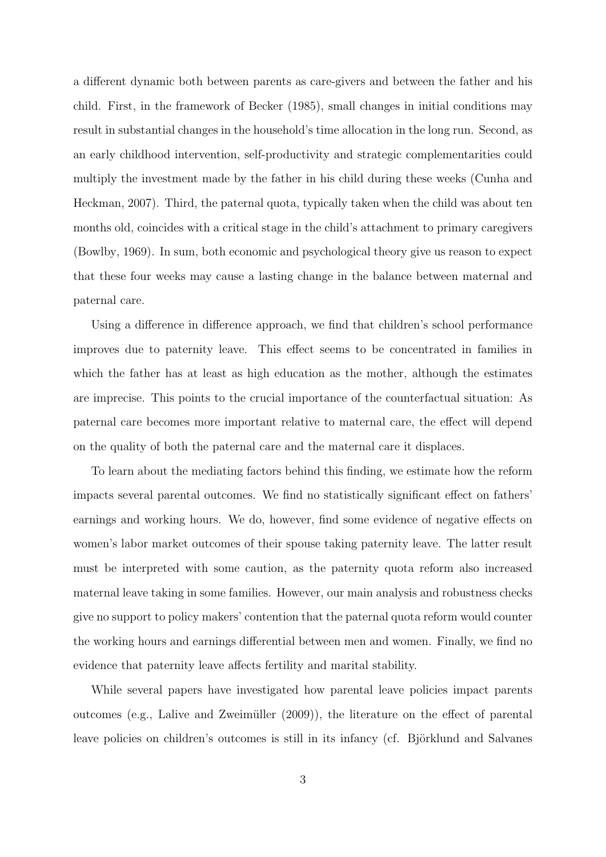a different dynamic both between parents as care-givers and between the father and his child. First, in the framework of Becker (1985), small changes in initial conditions may result in substantial changes in the household's time allocation in the long run. Second, as an early childhood intervention, self-productivity and strategic complementarities could multiply the investment made by the father in his child during these weeks (Cunha and Heckman, 2007). Third, the paternal quota, typically taken when the child was about ten months old, coincides with a critical stage in the child's attachment to primary caregivers (Bowlby, 1969). In sum, both economic and psychological theory give us reason to expect that these four weeks may cause a lasting change in the balance between maternal and paternal care.

Using a difference in difference approach, we find that children's school performance improves due to paternity leave. This effect seems to be concentrated in families in which the father has at least as high education as the mother, although the estimates are imprecise. This points to the crucial importance of the counterfactual situation: As paternal care becomes more important relative to maternal care, the effect will depend on the quality of both the paternal care and the maternal care it displaces.

To learn about the mediating factors behind this finding, we estimate how the reform impacts several parental outcomes. We find no statistically significant effect on fathers' earnings and working hours. We do, however, find some evidence of negative effects on women's labor market outcomes of their spouse taking paternity leave. The latter result must be interpreted with some caution, as the paternity quota reform also increased maternal leave taking in some families. However, our main analysis and robustness checks give no support to policy makers' contention that the paternal quota reform would counter the working hours and earnings differential between men and women. Finally, we find no evidence that paternity leave affects fertility and marital stability.

While several papers have investigated how parental leave policies impact parents outcomes (e.g., Lalive and Zweimüller  $(2009)$ ), the literature on the effect of parental leave policies on children's outcomes is still in its infancy (cf. Björklund and Salvanes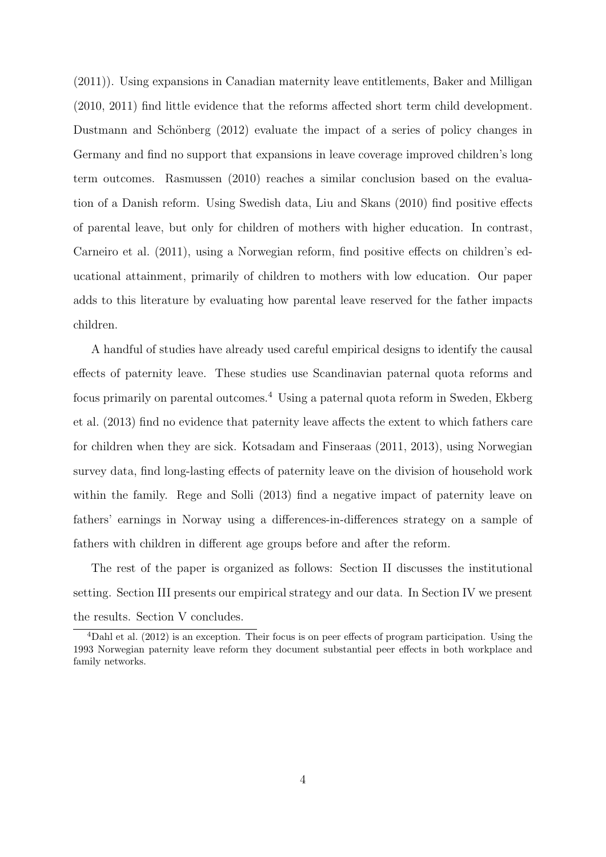(2011)). Using expansions in Canadian maternity leave entitlements, Baker and Milligan (2010, 2011) find little evidence that the reforms affected short term child development. Dustmann and Schönberg  $(2012)$  evaluate the impact of a series of policy changes in Germany and find no support that expansions in leave coverage improved children's long term outcomes. Rasmussen (2010) reaches a similar conclusion based on the evaluation of a Danish reform. Using Swedish data, Liu and Skans (2010) find positive effects of parental leave, but only for children of mothers with higher education. In contrast, Carneiro et al. (2011), using a Norwegian reform, find positive effects on children's educational attainment, primarily of children to mothers with low education. Our paper adds to this literature by evaluating how parental leave reserved for the father impacts children.

A handful of studies have already used careful empirical designs to identify the causal effects of paternity leave. These studies use Scandinavian paternal quota reforms and focus primarily on parental outcomes.<sup>4</sup> Using a paternal quota reform in Sweden, Ekberg et al. (2013) find no evidence that paternity leave affects the extent to which fathers care for children when they are sick. Kotsadam and Finseraas (2011, 2013), using Norwegian survey data, find long-lasting effects of paternity leave on the division of household work within the family. Rege and Solli (2013) find a negative impact of paternity leave on fathers' earnings in Norway using a differences-in-differences strategy on a sample of fathers with children in different age groups before and after the reform.

The rest of the paper is organized as follows: Section II discusses the institutional setting. Section III presents our empirical strategy and our data. In Section IV we present the results. Section V concludes.

<sup>4</sup>Dahl et al. (2012) is an exception. Their focus is on peer effects of program participation. Using the 1993 Norwegian paternity leave reform they document substantial peer effects in both workplace and family networks.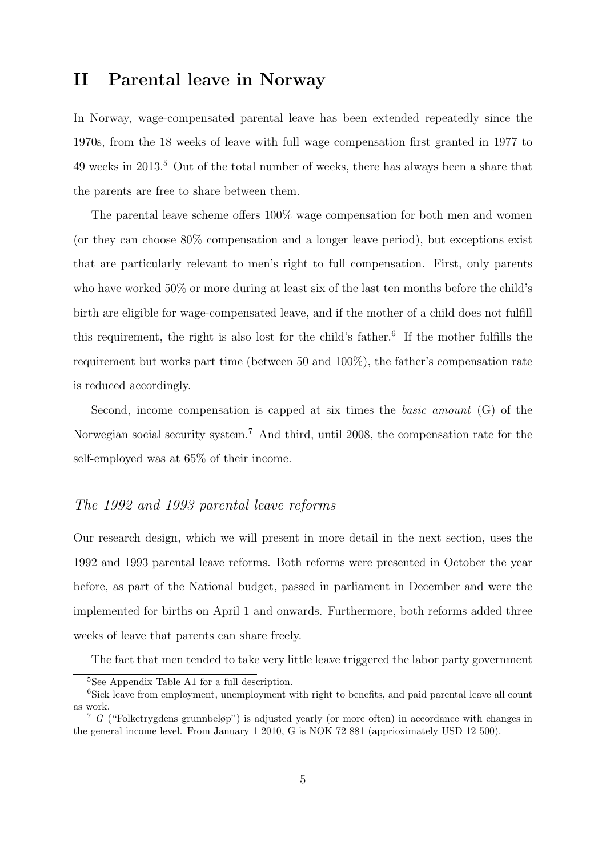# II Parental leave in Norway

In Norway, wage-compensated parental leave has been extended repeatedly since the 1970s, from the 18 weeks of leave with full wage compensation first granted in 1977 to 49 weeks in 2013.<sup>5</sup> Out of the total number of weeks, there has always been a share that the parents are free to share between them.

The parental leave scheme offers 100% wage compensation for both men and women (or they can choose 80% compensation and a longer leave period), but exceptions exist that are particularly relevant to men's right to full compensation. First, only parents who have worked 50% or more during at least six of the last ten months before the child's birth are eligible for wage-compensated leave, and if the mother of a child does not fulfill this requirement, the right is also lost for the child's father.<sup>6</sup> If the mother fulfills the requirement but works part time (between 50 and 100%), the father's compensation rate is reduced accordingly.

Second, income compensation is capped at six times the basic amount (G) of the Norwegian social security system.<sup>7</sup> And third, until 2008, the compensation rate for the self-employed was at 65% of their income.

#### The 1992 and 1993 parental leave reforms

Our research design, which we will present in more detail in the next section, uses the 1992 and 1993 parental leave reforms. Both reforms were presented in October the year before, as part of the National budget, passed in parliament in December and were the implemented for births on April 1 and onwards. Furthermore, both reforms added three weeks of leave that parents can share freely.

The fact that men tended to take very little leave triggered the labor party government

<sup>5</sup>See Appendix Table A1 for a full description.

<sup>&</sup>lt;sup>6</sup>Sick leave from employment, unemployment with right to benefits, and paid parental leave all count as work.

<sup>7</sup> G ("Folketrygdens grunnbeløp") is adjusted yearly (or more often) in accordance with changes in the general income level. From January 1 2010, G is NOK 72 881 (apprioximately USD 12 500).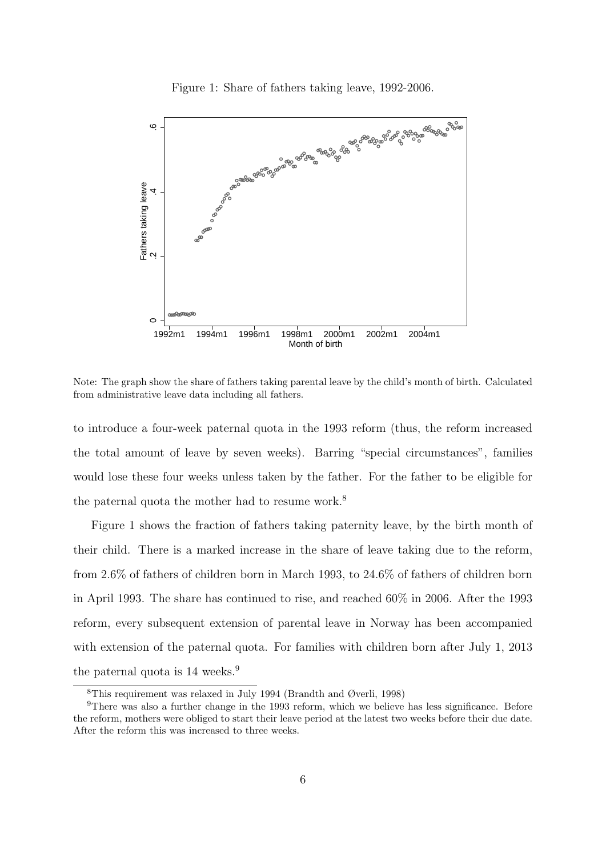Figure 1: Share of fathers taking leave, 1992-2006.



Note: The graph show the share of fathers taking parental leave by the child's month of birth. Calculated from administrative leave data including all fathers.

to introduce a four-week paternal quota in the 1993 reform (thus, the reform increased the total amount of leave by seven weeks). Barring "special circumstances", families would lose these four weeks unless taken by the father. For the father to be eligible for the paternal quota the mother had to resume work.<sup>8</sup>

Figure 1 shows the fraction of fathers taking paternity leave, by the birth month of their child. There is a marked increase in the share of leave taking due to the reform, from 2.6% of fathers of children born in March 1993, to 24.6% of fathers of children born in April 1993. The share has continued to rise, and reached 60% in 2006. After the 1993 reform, every subsequent extension of parental leave in Norway has been accompanied with extension of the paternal quota. For families with children born after July 1, 2013 the paternal quota is 14 weeks.<sup>9</sup>

<sup>&</sup>lt;sup>8</sup>This requirement was relaxed in July 1994 (Brandth and Øverli, 1998)

<sup>&</sup>lt;sup>9</sup>There was also a further change in the 1993 reform, which we believe has less significance. Before the reform, mothers were obliged to start their leave period at the latest two weeks before their due date. After the reform this was increased to three weeks.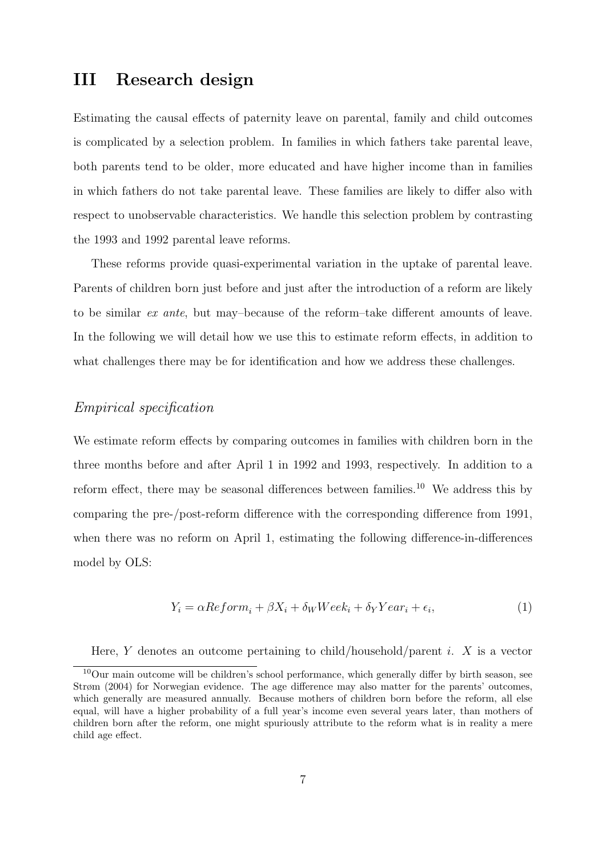# III Research design

Estimating the causal effects of paternity leave on parental, family and child outcomes is complicated by a selection problem. In families in which fathers take parental leave, both parents tend to be older, more educated and have higher income than in families in which fathers do not take parental leave. These families are likely to differ also with respect to unobservable characteristics. We handle this selection problem by contrasting the 1993 and 1992 parental leave reforms.

These reforms provide quasi-experimental variation in the uptake of parental leave. Parents of children born just before and just after the introduction of a reform are likely to be similar ex ante, but may–because of the reform–take different amounts of leave. In the following we will detail how we use this to estimate reform effects, in addition to what challenges there may be for identification and how we address these challenges.

#### Empirical specification

We estimate reform effects by comparing outcomes in families with children born in the three months before and after April 1 in 1992 and 1993, respectively. In addition to a reform effect, there may be seasonal differences between families.<sup>10</sup> We address this by comparing the pre-/post-reform difference with the corresponding difference from 1991, when there was no reform on April 1, estimating the following difference-in-differences model by OLS:

$$
Y_i = \alpha Reform_i + \beta X_i + \delta_W Week_i + \delta_Y Year_i + \epsilon_i,
$$
\n(1)

Here, Y denotes an outcome pertaining to child/household/parent i. X is a vector

<sup>10</sup>Our main outcome will be children's school performance, which generally differ by birth season, see Strøm (2004) for Norwegian evidence. The age difference may also matter for the parents' outcomes, which generally are measured annually. Because mothers of children born before the reform, all else equal, will have a higher probability of a full year's income even several years later, than mothers of children born after the reform, one might spuriously attribute to the reform what is in reality a mere child age effect.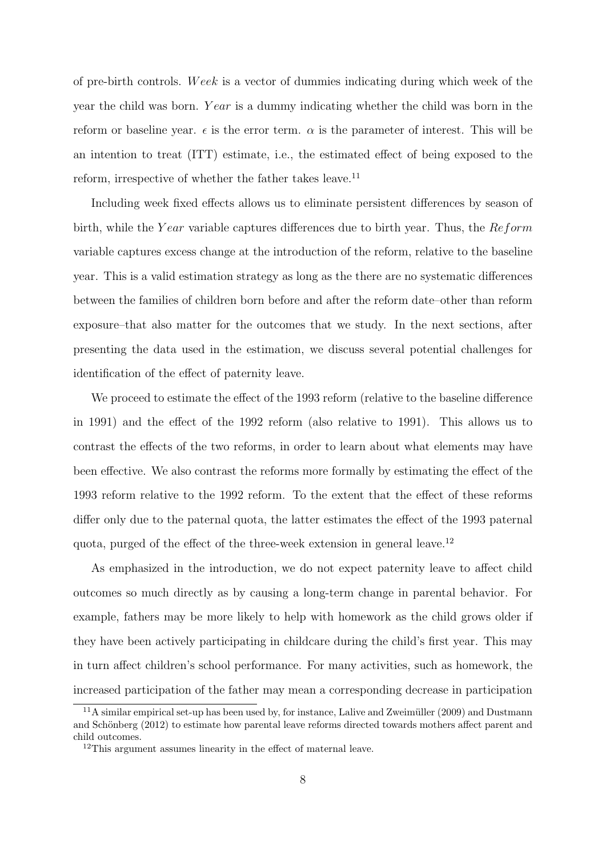of pre-birth controls. W eek is a vector of dummies indicating during which week of the year the child was born. Year is a dummy indicating whether the child was born in the reform or baseline year.  $\epsilon$  is the error term.  $\alpha$  is the parameter of interest. This will be an intention to treat (ITT) estimate, i.e., the estimated effect of being exposed to the reform, irrespective of whether the father takes leave.<sup>11</sup>

Including week fixed effects allows us to eliminate persistent differences by season of birth, while the Year variable captures differences due to birth year. Thus, the  $Reform$ variable captures excess change at the introduction of the reform, relative to the baseline year. This is a valid estimation strategy as long as the there are no systematic differences between the families of children born before and after the reform date–other than reform exposure–that also matter for the outcomes that we study. In the next sections, after presenting the data used in the estimation, we discuss several potential challenges for identification of the effect of paternity leave.

We proceed to estimate the effect of the 1993 reform (relative to the baseline difference in 1991) and the effect of the 1992 reform (also relative to 1991). This allows us to contrast the effects of the two reforms, in order to learn about what elements may have been effective. We also contrast the reforms more formally by estimating the effect of the 1993 reform relative to the 1992 reform. To the extent that the effect of these reforms differ only due to the paternal quota, the latter estimates the effect of the 1993 paternal quota, purged of the effect of the three-week extension in general leave.<sup>12</sup>

As emphasized in the introduction, we do not expect paternity leave to affect child outcomes so much directly as by causing a long-term change in parental behavior. For example, fathers may be more likely to help with homework as the child grows older if they have been actively participating in childcare during the child's first year. This may in turn affect children's school performance. For many activities, such as homework, the increased participation of the father may mean a corresponding decrease in participation

 $11A$  similar empirical set-up has been used by, for instance, Lalive and Zweimüller (2009) and Dustmann and Schönberg (2012) to estimate how parental leave reforms directed towards mothers affect parent and child outcomes.

<sup>12</sup>This argument assumes linearity in the effect of maternal leave.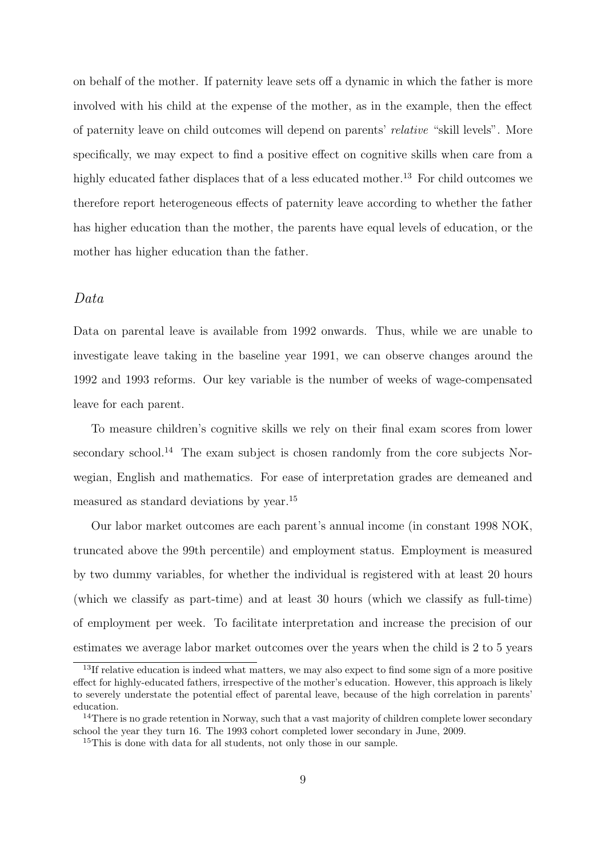on behalf of the mother. If paternity leave sets off a dynamic in which the father is more involved with his child at the expense of the mother, as in the example, then the effect of paternity leave on child outcomes will depend on parents' relative "skill levels". More specifically, we may expect to find a positive effect on cognitive skills when care from a highly educated father displaces that of a less educated mother.<sup>13</sup> For child outcomes we therefore report heterogeneous effects of paternity leave according to whether the father has higher education than the mother, the parents have equal levels of education, or the mother has higher education than the father.

#### Data

Data on parental leave is available from 1992 onwards. Thus, while we are unable to investigate leave taking in the baseline year 1991, we can observe changes around the 1992 and 1993 reforms. Our key variable is the number of weeks of wage-compensated leave for each parent.

To measure children's cognitive skills we rely on their final exam scores from lower secondary school.<sup>14</sup> The exam subject is chosen randomly from the core subjects Norwegian, English and mathematics. For ease of interpretation grades are demeaned and measured as standard deviations by year.<sup>15</sup>

Our labor market outcomes are each parent's annual income (in constant 1998 NOK, truncated above the 99th percentile) and employment status. Employment is measured by two dummy variables, for whether the individual is registered with at least 20 hours (which we classify as part-time) and at least 30 hours (which we classify as full-time) of employment per week. To facilitate interpretation and increase the precision of our estimates we average labor market outcomes over the years when the child is 2 to 5 years

<sup>&</sup>lt;sup>13</sup>If relative education is indeed what matters, we may also expect to find some sign of a more positive effect for highly-educated fathers, irrespective of the mother's education. However, this approach is likely to severely understate the potential effect of parental leave, because of the high correlation in parents' education.

<sup>&</sup>lt;sup>14</sup>There is no grade retention in Norway, such that a vast majority of children complete lower secondary school the year they turn 16. The 1993 cohort completed lower secondary in June, 2009.

<sup>&</sup>lt;sup>15</sup>This is done with data for all students, not only those in our sample.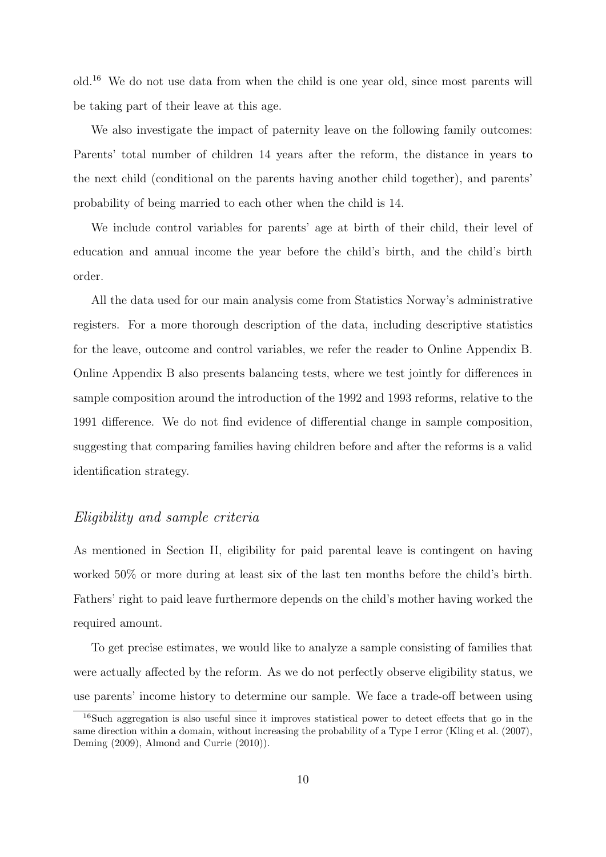old.<sup>16</sup> We do not use data from when the child is one year old, since most parents will be taking part of their leave at this age.

We also investigate the impact of paternity leave on the following family outcomes: Parents' total number of children 14 years after the reform, the distance in years to the next child (conditional on the parents having another child together), and parents' probability of being married to each other when the child is 14.

We include control variables for parents' age at birth of their child, their level of education and annual income the year before the child's birth, and the child's birth order.

All the data used for our main analysis come from Statistics Norway's administrative registers. For a more thorough description of the data, including descriptive statistics for the leave, outcome and control variables, we refer the reader to Online Appendix B. Online Appendix B also presents balancing tests, where we test jointly for differences in sample composition around the introduction of the 1992 and 1993 reforms, relative to the 1991 difference. We do not find evidence of differential change in sample composition, suggesting that comparing families having children before and after the reforms is a valid identification strategy.

#### Eligibility and sample criteria

As mentioned in Section II, eligibility for paid parental leave is contingent on having worked 50% or more during at least six of the last ten months before the child's birth. Fathers' right to paid leave furthermore depends on the child's mother having worked the required amount.

To get precise estimates, we would like to analyze a sample consisting of families that were actually affected by the reform. As we do not perfectly observe eligibility status, we use parents' income history to determine our sample. We face a trade-off between using

<sup>16</sup>Such aggregation is also useful since it improves statistical power to detect effects that go in the same direction within a domain, without increasing the probability of a Type I error (Kling et al. (2007), Deming (2009), Almond and Currie (2010)).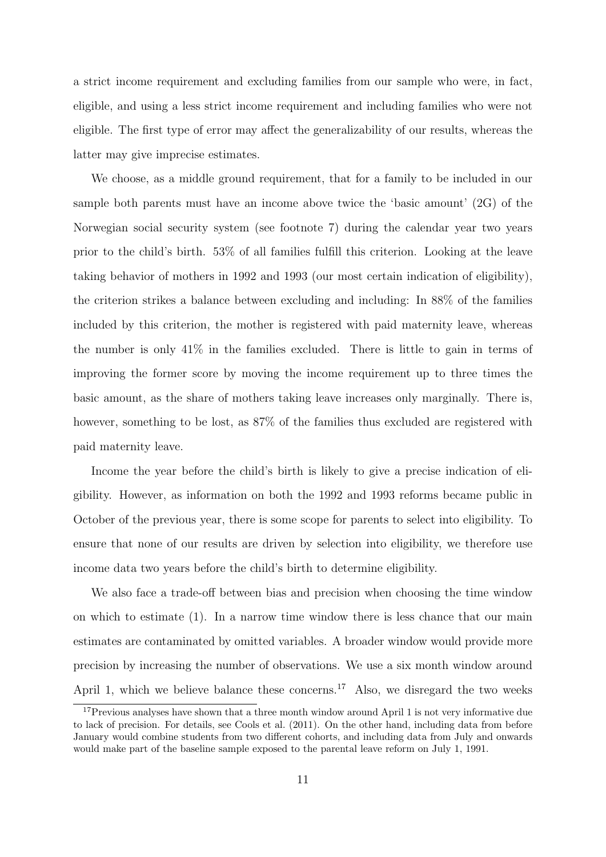a strict income requirement and excluding families from our sample who were, in fact, eligible, and using a less strict income requirement and including families who were not eligible. The first type of error may affect the generalizability of our results, whereas the latter may give imprecise estimates.

We choose, as a middle ground requirement, that for a family to be included in our sample both parents must have an income above twice the 'basic amount' (2G) of the Norwegian social security system (see footnote 7) during the calendar year two years prior to the child's birth. 53% of all families fulfill this criterion. Looking at the leave taking behavior of mothers in 1992 and 1993 (our most certain indication of eligibility), the criterion strikes a balance between excluding and including: In 88% of the families included by this criterion, the mother is registered with paid maternity leave, whereas the number is only 41% in the families excluded. There is little to gain in terms of improving the former score by moving the income requirement up to three times the basic amount, as the share of mothers taking leave increases only marginally. There is, however, something to be lost, as  $87\%$  of the families thus excluded are registered with paid maternity leave.

Income the year before the child's birth is likely to give a precise indication of eligibility. However, as information on both the 1992 and 1993 reforms became public in October of the previous year, there is some scope for parents to select into eligibility. To ensure that none of our results are driven by selection into eligibility, we therefore use income data two years before the child's birth to determine eligibility.

We also face a trade-off between bias and precision when choosing the time window on which to estimate (1). In a narrow time window there is less chance that our main estimates are contaminated by omitted variables. A broader window would provide more precision by increasing the number of observations. We use a six month window around April 1, which we believe balance these concerns.<sup>17</sup> Also, we disregard the two weeks

<sup>&</sup>lt;sup>17</sup>Previous analyses have shown that a three month window around April 1 is not very informative due to lack of precision. For details, see Cools et al. (2011). On the other hand, including data from before January would combine students from two different cohorts, and including data from July and onwards would make part of the baseline sample exposed to the parental leave reform on July 1, 1991.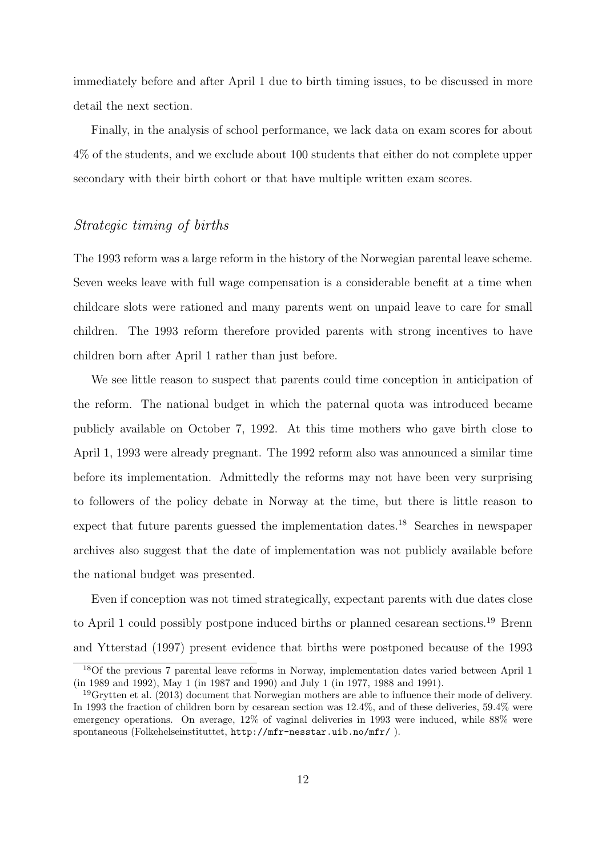immediately before and after April 1 due to birth timing issues, to be discussed in more detail the next section.

Finally, in the analysis of school performance, we lack data on exam scores for about 4% of the students, and we exclude about 100 students that either do not complete upper secondary with their birth cohort or that have multiple written exam scores.

#### Strategic timing of births

The 1993 reform was a large reform in the history of the Norwegian parental leave scheme. Seven weeks leave with full wage compensation is a considerable benefit at a time when childcare slots were rationed and many parents went on unpaid leave to care for small children. The 1993 reform therefore provided parents with strong incentives to have children born after April 1 rather than just before.

We see little reason to suspect that parents could time conception in anticipation of the reform. The national budget in which the paternal quota was introduced became publicly available on October 7, 1992. At this time mothers who gave birth close to April 1, 1993 were already pregnant. The 1992 reform also was announced a similar time before its implementation. Admittedly the reforms may not have been very surprising to followers of the policy debate in Norway at the time, but there is little reason to expect that future parents guessed the implementation dates.<sup>18</sup> Searches in newspaper archives also suggest that the date of implementation was not publicly available before the national budget was presented.

Even if conception was not timed strategically, expectant parents with due dates close to April 1 could possibly postpone induced births or planned cesarean sections.<sup>19</sup> Brenn and Ytterstad (1997) present evidence that births were postponed because of the 1993

<sup>18</sup>Of the previous 7 parental leave reforms in Norway, implementation dates varied between April 1 (in 1989 and 1992), May 1 (in 1987 and 1990) and July 1 (in 1977, 1988 and 1991).

 $19$ Grytten et al. (2013) document that Norwegian mothers are able to influence their mode of delivery. In 1993 the fraction of children born by cesarean section was 12.4%, and of these deliveries, 59.4% were emergency operations. On average, 12% of vaginal deliveries in 1993 were induced, while 88% were spontaneous (Folkehelseinstituttet, http://mfr-nesstar.uib.no/mfr/ ).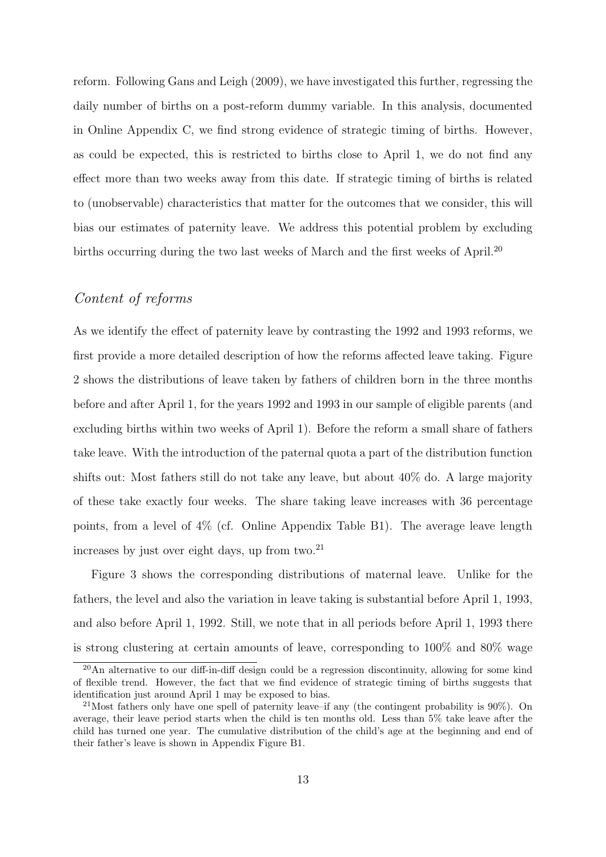reform. Following Gans and Leigh (2009), we have investigated this further, regressing the daily number of births on a post-reform dummy variable. In this analysis, documented in Online Appendix C, we find strong evidence of strategic timing of births. However, as could be expected, this is restricted to births close to April 1, we do not find any effect more than two weeks away from this date. If strategic timing of births is related to (unobservable) characteristics that matter for the outcomes that we consider, this will bias our estimates of paternity leave. We address this potential problem by excluding births occurring during the two last weeks of March and the first weeks of April.<sup>20</sup>

#### Content of reforms

As we identify the effect of paternity leave by contrasting the 1992 and 1993 reforms, we first provide a more detailed description of how the reforms affected leave taking. Figure 2 shows the distributions of leave taken by fathers of children born in the three months before and after April 1, for the years 1992 and 1993 in our sample of eligible parents (and excluding births within two weeks of April 1). Before the reform a small share of fathers take leave. With the introduction of the paternal quota a part of the distribution function shifts out: Most fathers still do not take any leave, but about 40% do. A large majority of these take exactly four weeks. The share taking leave increases with 36 percentage points, from a level of 4% (cf. Online Appendix Table B1). The average leave length increases by just over eight days, up from two. $^{21}$ 

Figure 3 shows the corresponding distributions of maternal leave. Unlike for the fathers, the level and also the variation in leave taking is substantial before April 1, 1993, and also before April 1, 1992. Still, we note that in all periods before April 1, 1993 there is strong clustering at certain amounts of leave, corresponding to 100% and 80% wage

<sup>20</sup>An alternative to our diff-in-diff design could be a regression discontinuity, allowing for some kind of flexible trend. However, the fact that we find evidence of strategic timing of births suggests that identification just around April 1 may be exposed to bias.

<sup>&</sup>lt;sup>21</sup>Most fathers only have one spell of paternity leave–if any (the contingent probability is  $90\%$ ). On average, their leave period starts when the child is ten months old. Less than 5% take leave after the child has turned one year. The cumulative distribution of the child's age at the beginning and end of their father's leave is shown in Appendix Figure B1.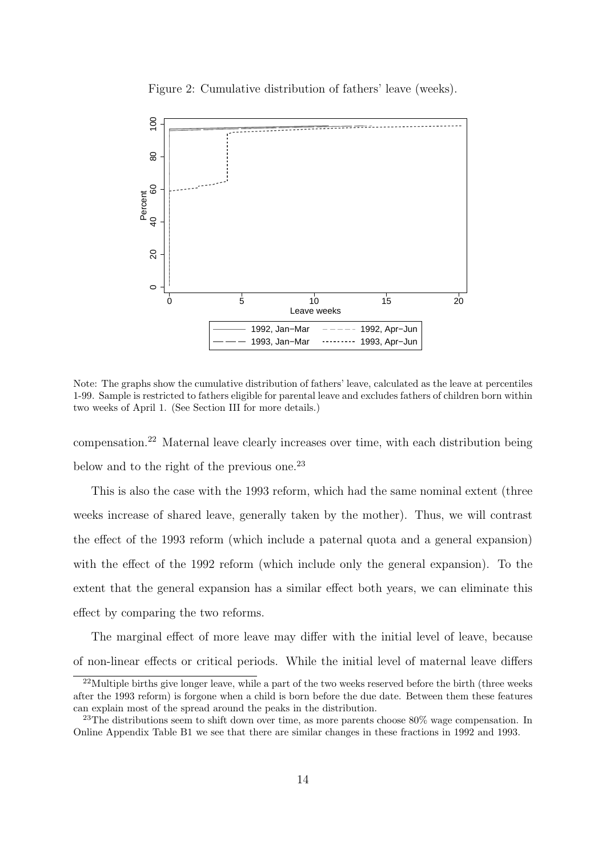



Note: The graphs show the cumulative distribution of fathers' leave, calculated as the leave at percentiles 1-99. Sample is restricted to fathers eligible for parental leave and excludes fathers of children born within two weeks of April 1. (See Section III for more details.)

compensation.<sup>22</sup> Maternal leave clearly increases over time, with each distribution being below and to the right of the previous one.<sup>23</sup>

This is also the case with the 1993 reform, which had the same nominal extent (three weeks increase of shared leave, generally taken by the mother). Thus, we will contrast the effect of the 1993 reform (which include a paternal quota and a general expansion) with the effect of the 1992 reform (which include only the general expansion). To the extent that the general expansion has a similar effect both years, we can eliminate this effect by comparing the two reforms.

The marginal effect of more leave may differ with the initial level of leave, because of non-linear effects or critical periods. While the initial level of maternal leave differs

<sup>&</sup>lt;sup>22</sup>Multiple births give longer leave, while a part of the two weeks reserved before the birth (three weeks after the 1993 reform) is forgone when a child is born before the due date. Between them these features can explain most of the spread around the peaks in the distribution.

<sup>&</sup>lt;sup>23</sup>The distributions seem to shift down over time, as more parents choose  $80\%$  wage compensation. In Online Appendix Table B1 we see that there are similar changes in these fractions in 1992 and 1993.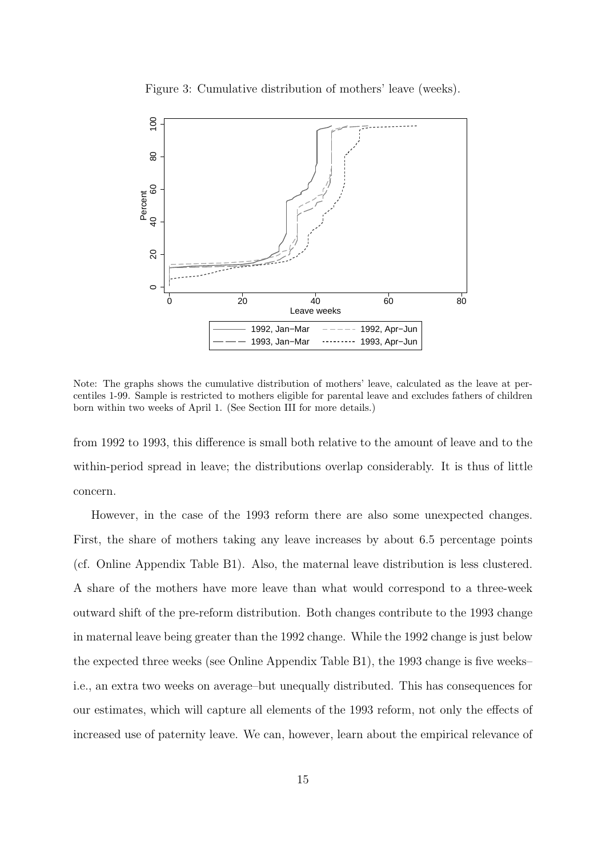Figure 3: Cumulative distribution of mothers' leave (weeks).



Note: The graphs shows the cumulative distribution of mothers' leave, calculated as the leave at percentiles 1-99. Sample is restricted to mothers eligible for parental leave and excludes fathers of children born within two weeks of April 1. (See Section III for more details.)

from 1992 to 1993, this difference is small both relative to the amount of leave and to the within-period spread in leave; the distributions overlap considerably. It is thus of little concern.

However, in the case of the 1993 reform there are also some unexpected changes. First, the share of mothers taking any leave increases by about 6.5 percentage points (cf. Online Appendix Table B1). Also, the maternal leave distribution is less clustered. A share of the mothers have more leave than what would correspond to a three-week outward shift of the pre-reform distribution. Both changes contribute to the 1993 change in maternal leave being greater than the 1992 change. While the 1992 change is just below the expected three weeks (see Online Appendix Table B1), the 1993 change is five weeks– i.e., an extra two weeks on average–but unequally distributed. This has consequences for our estimates, which will capture all elements of the 1993 reform, not only the effects of increased use of paternity leave. We can, however, learn about the empirical relevance of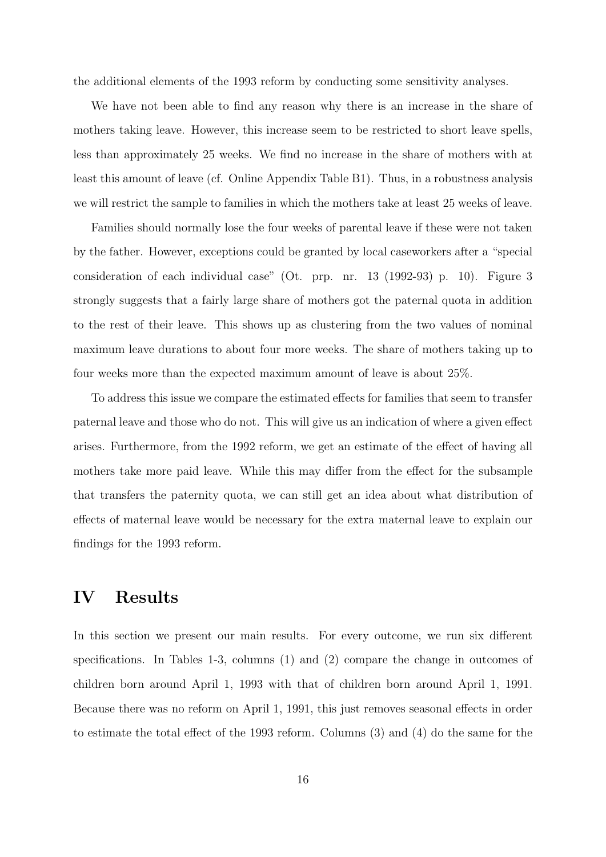the additional elements of the 1993 reform by conducting some sensitivity analyses.

We have not been able to find any reason why there is an increase in the share of mothers taking leave. However, this increase seem to be restricted to short leave spells, less than approximately 25 weeks. We find no increase in the share of mothers with at least this amount of leave (cf. Online Appendix Table B1). Thus, in a robustness analysis we will restrict the sample to families in which the mothers take at least 25 weeks of leave.

Families should normally lose the four weeks of parental leave if these were not taken by the father. However, exceptions could be granted by local caseworkers after a "special consideration of each individual case" (Ot. prp. nr. 13 (1992-93) p. 10). Figure 3 strongly suggests that a fairly large share of mothers got the paternal quota in addition to the rest of their leave. This shows up as clustering from the two values of nominal maximum leave durations to about four more weeks. The share of mothers taking up to four weeks more than the expected maximum amount of leave is about 25%.

To address this issue we compare the estimated effects for families that seem to transfer paternal leave and those who do not. This will give us an indication of where a given effect arises. Furthermore, from the 1992 reform, we get an estimate of the effect of having all mothers take more paid leave. While this may differ from the effect for the subsample that transfers the paternity quota, we can still get an idea about what distribution of effects of maternal leave would be necessary for the extra maternal leave to explain our findings for the 1993 reform.

## IV Results

In this section we present our main results. For every outcome, we run six different specifications. In Tables 1-3, columns (1) and (2) compare the change in outcomes of children born around April 1, 1993 with that of children born around April 1, 1991. Because there was no reform on April 1, 1991, this just removes seasonal effects in order to estimate the total effect of the 1993 reform. Columns (3) and (4) do the same for the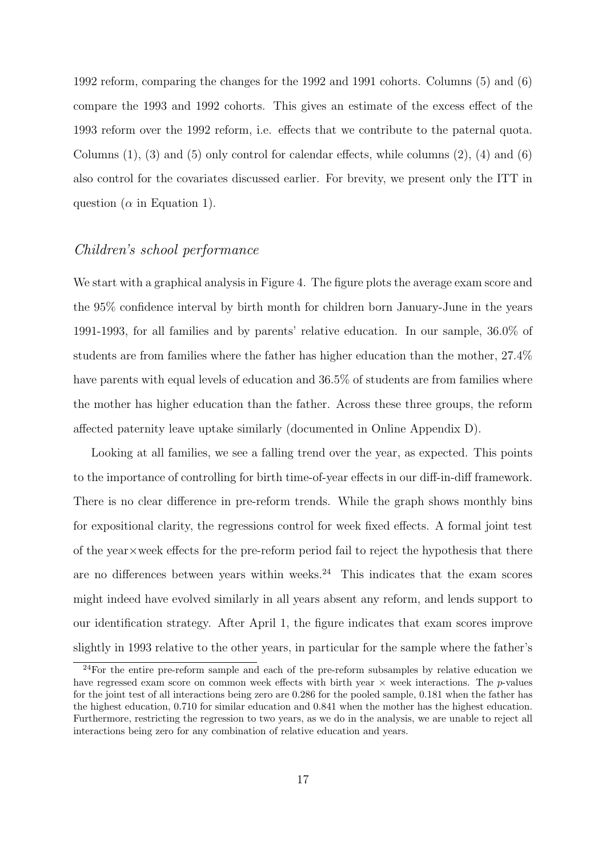1992 reform, comparing the changes for the 1992 and 1991 cohorts. Columns (5) and (6) compare the 1993 and 1992 cohorts. This gives an estimate of the excess effect of the 1993 reform over the 1992 reform, i.e. effects that we contribute to the paternal quota. Columns  $(1)$ ,  $(3)$  and  $(5)$  only control for calendar effects, while columns  $(2)$ ,  $(4)$  and  $(6)$ also control for the covariates discussed earlier. For brevity, we present only the ITT in question ( $\alpha$  in Equation 1).

#### Children's school performance

We start with a graphical analysis in Figure 4. The figure plots the average exam score and the 95% confidence interval by birth month for children born January-June in the years 1991-1993, for all families and by parents' relative education. In our sample, 36.0% of students are from families where the father has higher education than the mother, 27.4% have parents with equal levels of education and 36.5% of students are from families where the mother has higher education than the father. Across these three groups, the reform affected paternity leave uptake similarly (documented in Online Appendix D).

Looking at all families, we see a falling trend over the year, as expected. This points to the importance of controlling for birth time-of-year effects in our diff-in-diff framework. There is no clear difference in pre-reform trends. While the graph shows monthly bins for expositional clarity, the regressions control for week fixed effects. A formal joint test of the year×week effects for the pre-reform period fail to reject the hypothesis that there are no differences between years within weeks. $24$  This indicates that the exam scores might indeed have evolved similarly in all years absent any reform, and lends support to our identification strategy. After April 1, the figure indicates that exam scores improve slightly in 1993 relative to the other years, in particular for the sample where the father's

<sup>&</sup>lt;sup>24</sup>For the entire pre-reform sample and each of the pre-reform subsamples by relative education we have regressed exam score on common week effects with birth year  $\times$  week interactions. The p-values for the joint test of all interactions being zero are 0.286 for the pooled sample, 0.181 when the father has the highest education, 0.710 for similar education and 0.841 when the mother has the highest education. Furthermore, restricting the regression to two years, as we do in the analysis, we are unable to reject all interactions being zero for any combination of relative education and years.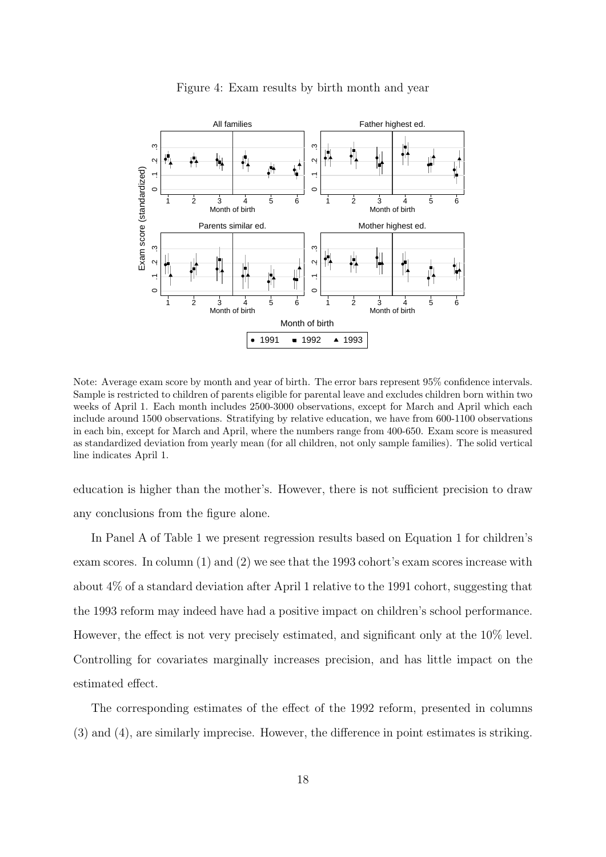

#### Figure 4: Exam results by birth month and year

Note: Average exam score by month and year of birth. The error bars represent 95% confidence intervals. Sample is restricted to children of parents eligible for parental leave and excludes children born within two weeks of April 1. Each month includes 2500-3000 observations, except for March and April which each include around 1500 observations. Stratifying by relative education, we have from 600-1100 observations in each bin, except for March and April, where the numbers range from 400-650. Exam score is measured as standardized deviation from yearly mean (for all children, not only sample families). The solid vertical line indicates April 1.

education is higher than the mother's. However, there is not sufficient precision to draw any conclusions from the figure alone.

In Panel A of Table 1 we present regression results based on Equation 1 for children's exam scores. In column (1) and (2) we see that the 1993 cohort's exam scores increase with about 4% of a standard deviation after April 1 relative to the 1991 cohort, suggesting that the 1993 reform may indeed have had a positive impact on children's school performance. However, the effect is not very precisely estimated, and significant only at the 10% level. Controlling for covariates marginally increases precision, and has little impact on the estimated effect.

The corresponding estimates of the effect of the 1992 reform, presented in columns (3) and (4), are similarly imprecise. However, the difference in point estimates is striking.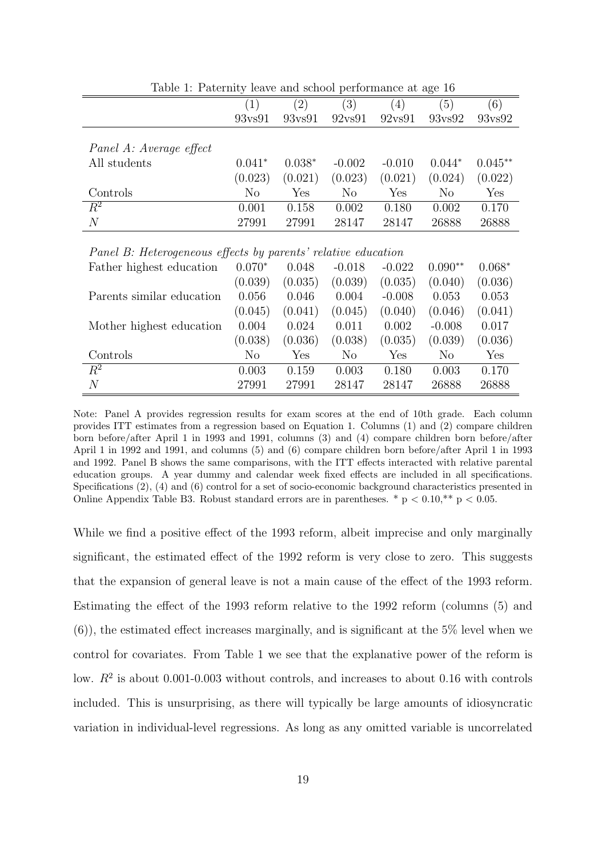| row's and school portormance as ago to                        |                |          |          |          |           |           |  |
|---------------------------------------------------------------|----------------|----------|----------|----------|-----------|-----------|--|
|                                                               | (1)            | (2)      | (3)      | (4)      | (5)       | (6)       |  |
|                                                               | 93vs91         | 93vs91   | 92vs91   | 92vs91   | 93vs92    | 93vs92    |  |
|                                                               |                |          |          |          |           |           |  |
| Panel A: Average effect                                       |                |          |          |          |           |           |  |
| All students                                                  | $0.041*$       | $0.038*$ | $-0.002$ | $-0.010$ | $0.044*$  | $0.045**$ |  |
|                                                               | (0.023)        | (0.021)  | (0.023)  | (0.021)  | (0.024)   | (0.022)   |  |
| Controls                                                      | N <sub>o</sub> | Yes      | $\rm No$ | Yes      | $\rm No$  | Yes       |  |
| $R^2$                                                         | 0.001          | 0.158    | 0.002    | 0.180    | 0.002     | 0.170     |  |
| $\overline{N}$                                                | 27991          | 27991    | 28147    | 28147    | 26888     | 26888     |  |
|                                                               |                |          |          |          |           |           |  |
| Panel B: Heterogeneous effects by parents' relative education |                |          |          |          |           |           |  |
| Father highest education                                      | $0.070*$       | 0.048    | $-0.018$ | $-0.022$ | $0.090**$ | $0.068*$  |  |
|                                                               | (0.039)        | (0.035)  | (0.039)  | (0.035)  | (0.040)   | (0.036)   |  |
| Parents similar education                                     | 0.056          | 0.046    | 0.004    | $-0.008$ | 0.053     | 0.053     |  |
|                                                               | (0.045)        | (0.041)  | (0.045)  | (0.040)  | (0.046)   | (0.041)   |  |
|                                                               | 0.001          | 0.001    | ∩ ∩11    | n nnn    | n nno     | 0.017     |  |

Table 1: Paternity leave and school performance at age 16

| Father highest education  | $0.070*$ | 0.048   | $-0.018$ | $-0.022$ | $0.090**$ | $0.068*$ |
|---------------------------|----------|---------|----------|----------|-----------|----------|
|                           | (0.039)  | (0.035) | (0.039)  | (0.035)  | (0.040)   | (0.036)  |
| Parents similar education | 0.056    | 0.046   | 0.004    | $-0.008$ | 0.053     | 0.053    |
|                           | (0.045)  | (0.041) | (0.045)  | (0.040)  | (0.046)   | (0.041)  |
| Mother highest education  | 0.004    | 0.024   | 0.011    | 0.002    | $-0.008$  | 0.017    |
|                           | (0.038)  | (0.036) | (0.038)  | (0.035)  | (0.039)   | (0.036)  |
| Controls                  | No       | Yes     | No       | Yes      | No        | Yes      |
| $R^2$                     | 0.003    | 0.159   | 0.003    | 0.180    | 0.003     | 0.170    |
| $\overline{N}$            | 27991    | 27991   | 28147    | 28147    | 26888     | 26888    |

Note: Panel A provides regression results for exam scores at the end of 10th grade. Each column provides ITT estimates from a regression based on Equation 1. Columns (1) and (2) compare children born before/after April 1 in 1993 and 1991, columns (3) and (4) compare children born before/after April 1 in 1992 and 1991, and columns (5) and (6) compare children born before/after April 1 in 1993 and 1992. Panel B shows the same comparisons, with the ITT effects interacted with relative parental education groups. A year dummy and calendar week fixed effects are included in all specifications. Specifications (2), (4) and (6) control for a set of socio-economic background characteristics presented in Online Appendix Table B3. Robust standard errors are in parentheses.  $*$  p < 0.10, $*$  $*$  p < 0.05.

While we find a positive effect of the 1993 reform, albeit imprecise and only marginally significant, the estimated effect of the 1992 reform is very close to zero. This suggests that the expansion of general leave is not a main cause of the effect of the 1993 reform. Estimating the effect of the 1993 reform relative to the 1992 reform (columns (5) and  $(6)$ , the estimated effect increases marginally, and is significant at the 5% level when we control for covariates. From Table 1 we see that the explanative power of the reform is low.  $R^2$  is about 0.001-0.003 without controls, and increases to about 0.16 with controls included. This is unsurprising, as there will typically be large amounts of idiosyncratic variation in individual-level regressions. As long as any omitted variable is uncorrelated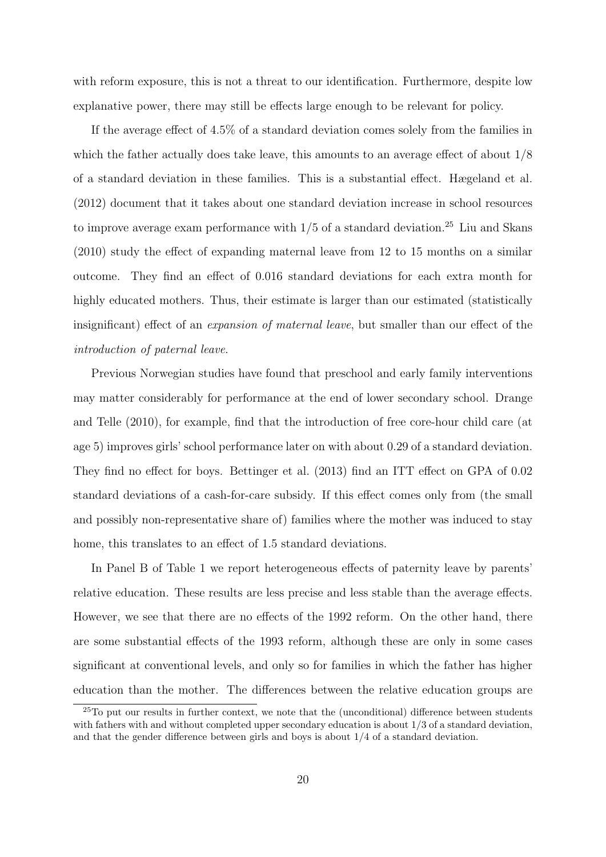with reform exposure, this is not a threat to our identification. Furthermore, despite low explanative power, there may still be effects large enough to be relevant for policy.

If the average effect of 4.5% of a standard deviation comes solely from the families in which the father actually does take leave, this amounts to an average effect of about  $1/8$ of a standard deviation in these families. This is a substantial effect. Hægeland et al. (2012) document that it takes about one standard deviation increase in school resources to improve average exam performance with  $1/5$  of a standard deviation.<sup>25</sup> Liu and Skans (2010) study the effect of expanding maternal leave from 12 to 15 months on a similar outcome. They find an effect of 0.016 standard deviations for each extra month for highly educated mothers. Thus, their estimate is larger than our estimated (statistically insignificant) effect of an *expansion of maternal leave*, but smaller than our effect of the introduction of paternal leave.

Previous Norwegian studies have found that preschool and early family interventions may matter considerably for performance at the end of lower secondary school. Drange and Telle (2010), for example, find that the introduction of free core-hour child care (at age 5) improves girls' school performance later on with about 0.29 of a standard deviation. They find no effect for boys. Bettinger et al. (2013) find an ITT effect on GPA of 0.02 standard deviations of a cash-for-care subsidy. If this effect comes only from (the small and possibly non-representative share of) families where the mother was induced to stay home, this translates to an effect of 1.5 standard deviations.

In Panel B of Table 1 we report heterogeneous effects of paternity leave by parents' relative education. These results are less precise and less stable than the average effects. However, we see that there are no effects of the 1992 reform. On the other hand, there are some substantial effects of the 1993 reform, although these are only in some cases significant at conventional levels, and only so for families in which the father has higher education than the mother. The differences between the relative education groups are

 $^{25}$ To put our results in further context, we note that the (unconditional) difference between students with fathers with and without completed upper secondary education is about  $1/3$  of a standard deviation, and that the gender difference between girls and boys is about  $1/4$  of a standard deviation.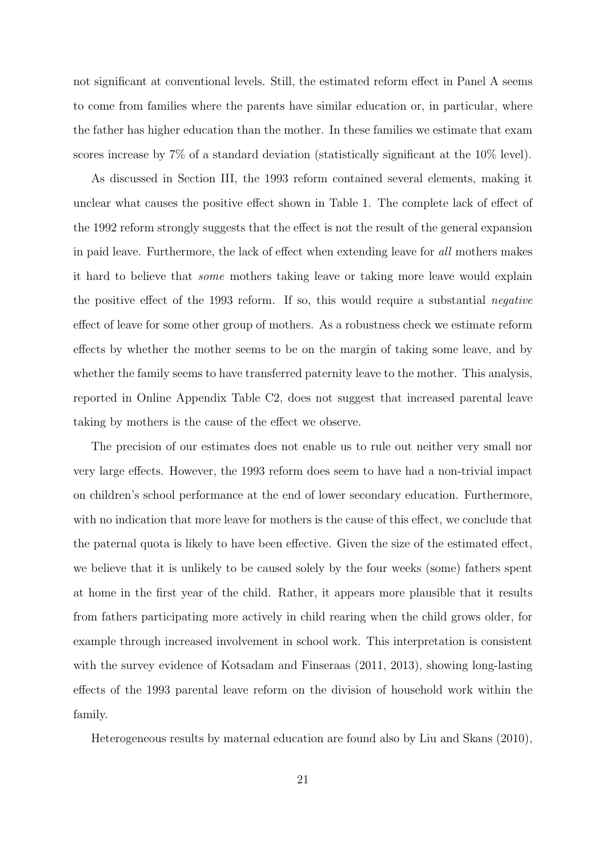not significant at conventional levels. Still, the estimated reform effect in Panel A seems to come from families where the parents have similar education or, in particular, where the father has higher education than the mother. In these families we estimate that exam scores increase by 7% of a standard deviation (statistically significant at the 10% level).

As discussed in Section III, the 1993 reform contained several elements, making it unclear what causes the positive effect shown in Table 1. The complete lack of effect of the 1992 reform strongly suggests that the effect is not the result of the general expansion in paid leave. Furthermore, the lack of effect when extending leave for all mothers makes it hard to believe that some mothers taking leave or taking more leave would explain the positive effect of the 1993 reform. If so, this would require a substantial negative effect of leave for some other group of mothers. As a robustness check we estimate reform effects by whether the mother seems to be on the margin of taking some leave, and by whether the family seems to have transferred paternity leave to the mother. This analysis, reported in Online Appendix Table C2, does not suggest that increased parental leave taking by mothers is the cause of the effect we observe.

The precision of our estimates does not enable us to rule out neither very small nor very large effects. However, the 1993 reform does seem to have had a non-trivial impact on children's school performance at the end of lower secondary education. Furthermore, with no indication that more leave for mothers is the cause of this effect, we conclude that the paternal quota is likely to have been effective. Given the size of the estimated effect, we believe that it is unlikely to be caused solely by the four weeks (some) fathers spent at home in the first year of the child. Rather, it appears more plausible that it results from fathers participating more actively in child rearing when the child grows older, for example through increased involvement in school work. This interpretation is consistent with the survey evidence of Kotsadam and Finseraas (2011, 2013), showing long-lasting effects of the 1993 parental leave reform on the division of household work within the family.

Heterogeneous results by maternal education are found also by Liu and Skans (2010),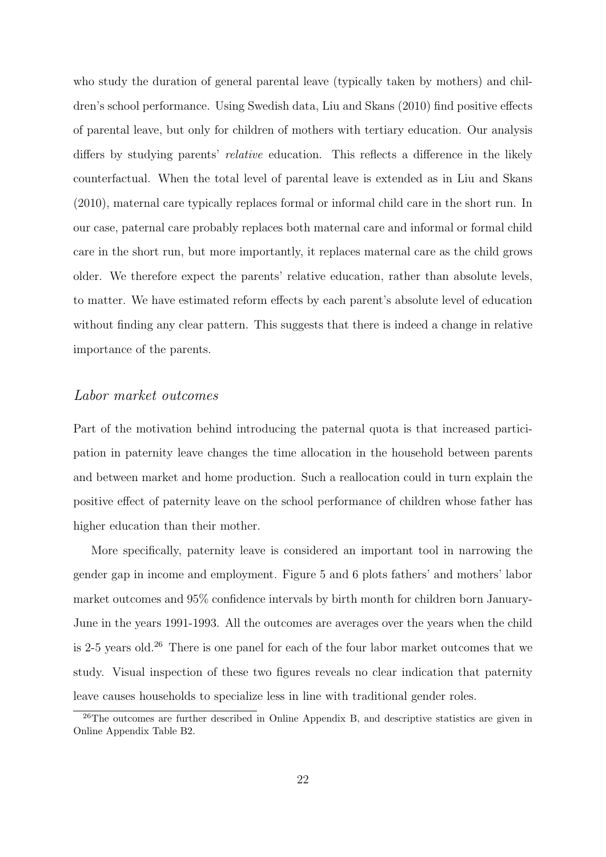who study the duration of general parental leave (typically taken by mothers) and children's school performance. Using Swedish data, Liu and Skans (2010) find positive effects of parental leave, but only for children of mothers with tertiary education. Our analysis differs by studying parents' *relative* education. This reflects a difference in the likely counterfactual. When the total level of parental leave is extended as in Liu and Skans (2010), maternal care typically replaces formal or informal child care in the short run. In our case, paternal care probably replaces both maternal care and informal or formal child care in the short run, but more importantly, it replaces maternal care as the child grows older. We therefore expect the parents' relative education, rather than absolute levels, to matter. We have estimated reform effects by each parent's absolute level of education without finding any clear pattern. This suggests that there is indeed a change in relative importance of the parents.

#### Labor market outcomes

Part of the motivation behind introducing the paternal quota is that increased participation in paternity leave changes the time allocation in the household between parents and between market and home production. Such a reallocation could in turn explain the positive effect of paternity leave on the school performance of children whose father has higher education than their mother.

More specifically, paternity leave is considered an important tool in narrowing the gender gap in income and employment. Figure 5 and 6 plots fathers' and mothers' labor market outcomes and 95% confidence intervals by birth month for children born January-June in the years 1991-1993. All the outcomes are averages over the years when the child is 2-5 years old.<sup>26</sup> There is one panel for each of the four labor market outcomes that we study. Visual inspection of these two figures reveals no clear indication that paternity leave causes households to specialize less in line with traditional gender roles.

<sup>&</sup>lt;sup>26</sup>The outcomes are further described in Online Appendix B, and descriptive statistics are given in Online Appendix Table B2.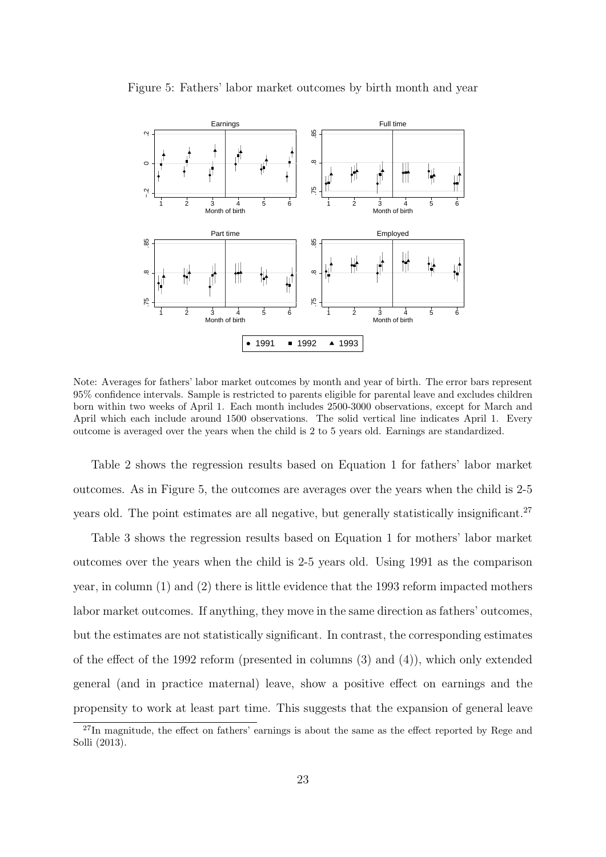

Figure 5: Fathers' labor market outcomes by birth month and year

Note: Averages for fathers' labor market outcomes by month and year of birth. The error bars represent 95% confidence intervals. Sample is restricted to parents eligible for parental leave and excludes children born within two weeks of April 1. Each month includes 2500-3000 observations, except for March and April which each include around 1500 observations. The solid vertical line indicates April 1. Every outcome is averaged over the years when the child is 2 to 5 years old. Earnings are standardized.

Table 2 shows the regression results based on Equation 1 for fathers' labor market outcomes. As in Figure 5, the outcomes are averages over the years when the child is 2-5 years old. The point estimates are all negative, but generally statistically insignificant.<sup>27</sup>

Table 3 shows the regression results based on Equation 1 for mothers' labor market outcomes over the years when the child is 2-5 years old. Using 1991 as the comparison year, in column (1) and (2) there is little evidence that the 1993 reform impacted mothers labor market outcomes. If anything, they move in the same direction as fathers' outcomes, but the estimates are not statistically significant. In contrast, the corresponding estimates of the effect of the 1992 reform (presented in columns (3) and (4)), which only extended general (and in practice maternal) leave, show a positive effect on earnings and the propensity to work at least part time. This suggests that the expansion of general leave

 $^{27}$ In magnitude, the effect on fathers' earnings is about the same as the effect reported by Rege and Solli (2013).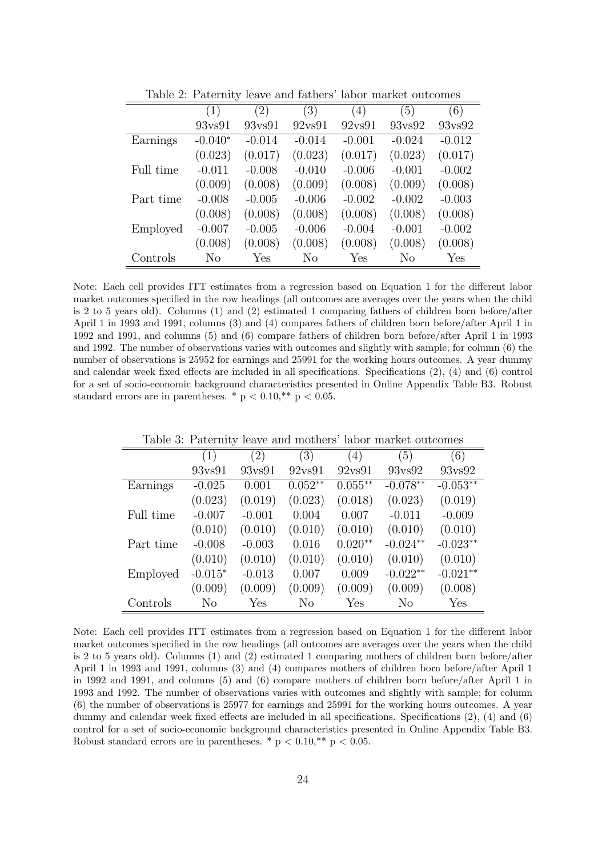|           | ັ         |                   |          |                  |                |          |
|-----------|-----------|-------------------|----------|------------------|----------------|----------|
|           | (1)       | $\left( 2\right)$ | (3)      | $\left(4\right)$ | (5)            | (6)      |
|           | 93vs91    | 93vs91            | 92vs91   | 92vs91           | 93vs92         | 93ys92   |
| Earnings  | $-0.040*$ | $-0.014$          | $-0.014$ | $-0.001$         | $-0.024$       | $-0.012$ |
|           | (0.023)   | (0.017)           | (0.023)  | (0.017)          | (0.023)        | (0.017)  |
| Full time | $-0.011$  | $-0.008$          | $-0.010$ | $-0.006$         | $-0.001$       | $-0.002$ |
|           | (0.009)   | (0.008)           | (0.009)  | (0.008)          | (0.009)        | (0.008)  |
| Part time | $-0.008$  | $-0.005$          | $-0.006$ | $-0.002$         | $-0.002$       | $-0.003$ |
|           | (0.008)   | (0.008)           | (0.008)  | (0.008)          | (0.008)        | (0.008)  |
| Employed  | $-0.007$  | $-0.005$          | $-0.006$ | $-0.004$         | $-0.001$       | $-0.002$ |
|           | (0.008)   | (0.008)           | (0.008)  | (0.008)          | (0.008)        | (0.008)  |
| Controls  | No        | Yes               | No       | Yes              | N <sub>o</sub> | Yes      |

Table 2: Paternity leave and fathers' labor market outcomes

Note: Each cell provides ITT estimates from a regression based on Equation 1 for the different labor market outcomes specified in the row headings (all outcomes are averages over the years when the child is 2 to 5 years old). Columns (1) and (2) estimated 1 comparing fathers of children born before/after April 1 in 1993 and 1991, columns (3) and (4) compares fathers of children born before/after April 1 in 1992 and 1991, and columns (5) and (6) compare fathers of children born before/after April 1 in 1993 and 1992. The number of observations varies with outcomes and slightly with sample; for column (6) the number of observations is 25952 for earnings and 25991 for the working hours outcomes. A year dummy and calendar week fixed effects are included in all specifications. Specifications (2), (4) and (6) control for a set of socio-economic background characteristics presented in Online Appendix Table B3. Robust standard errors are in parentheses. \*  $p < 0.10$ , \*\*  $p < 0.05$ .

|           | (1)       | $^{\prime}2)$ | $\left(3\right)$ | (4)       | (5)        | (6)        |
|-----------|-----------|---------------|------------------|-----------|------------|------------|
|           | 93vs91    | 93vs91        | 92vs91           | 92vs91    | 93vs92     | 93vs92     |
| Earnings  | $-0.025$  | 0.001         | $0.052**$        | $0.055**$ | $-0.078**$ | $-0.053**$ |
|           | (0.023)   | (0.019)       | (0.023)          | (0.018)   | (0.023)    | (0.019)    |
| Full time | $-0.007$  | $-0.001$      | 0.004            | 0.007     | $-0.011$   | $-0.009$   |
|           | (0.010)   | (0.010)       | (0.010)          | (0.010)   | (0.010)    | (0.010)    |
| Part time | $-0.008$  | $-0.003$      | 0.016            | $0.020**$ | $-0.024**$ | $-0.023**$ |
|           | (0.010)   | (0.010)       | (0.010)          | (0.010)   | (0.010)    | (0.010)    |
| Employed  | $-0.015*$ | $-0.013$      | 0.007            | 0.009     | $-0.022**$ | $-0.021**$ |
|           | (0.009)   | (0.009)       | (0.009)          | (0.009)   | (0.009)    | (0.008)    |
| Controls  | No        | Yes           | No               | Yes       | No         | Yes        |

Table 3: Paternity leave and mothers' labor market outcomes

Note: Each cell provides ITT estimates from a regression based on Equation 1 for the different labor market outcomes specified in the row headings (all outcomes are averages over the years when the child is 2 to 5 years old). Columns (1) and (2) estimated 1 comparing mothers of children born before/after April 1 in 1993 and 1991, columns (3) and (4) compares mothers of children born before/after April 1 in 1992 and 1991, and columns (5) and (6) compare mothers of children born before/after April 1 in 1993 and 1992. The number of observations varies with outcomes and slightly with sample; for column (6) the number of observations is 25977 for earnings and 25991 for the working hours outcomes. A year dummy and calendar week fixed effects are included in all specifications. Specifications (2), (4) and (6) control for a set of socio-economic background characteristics presented in Online Appendix Table B3. Robust standard errors are in parentheses. \*  $p < 0.10$ , \*\*  $p < 0.05$ .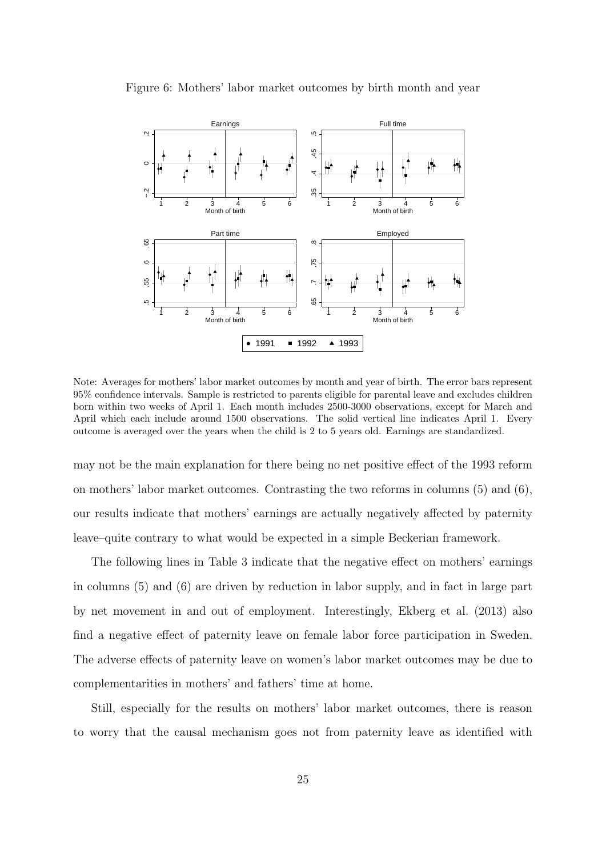

Figure 6: Mothers' labor market outcomes by birth month and year

Note: Averages for mothers' labor market outcomes by month and year of birth. The error bars represent 95% confidence intervals. Sample is restricted to parents eligible for parental leave and excludes children born within two weeks of April 1. Each month includes 2500-3000 observations, except for March and April which each include around 1500 observations. The solid vertical line indicates April 1. Every outcome is averaged over the years when the child is 2 to 5 years old. Earnings are standardized.

may not be the main explanation for there being no net positive effect of the 1993 reform on mothers' labor market outcomes. Contrasting the two reforms in columns (5) and (6), our results indicate that mothers' earnings are actually negatively affected by paternity leave–quite contrary to what would be expected in a simple Beckerian framework.

The following lines in Table 3 indicate that the negative effect on mothers' earnings in columns (5) and (6) are driven by reduction in labor supply, and in fact in large part by net movement in and out of employment. Interestingly, Ekberg et al. (2013) also find a negative effect of paternity leave on female labor force participation in Sweden. The adverse effects of paternity leave on women's labor market outcomes may be due to complementarities in mothers' and fathers' time at home.

Still, especially for the results on mothers' labor market outcomes, there is reason to worry that the causal mechanism goes not from paternity leave as identified with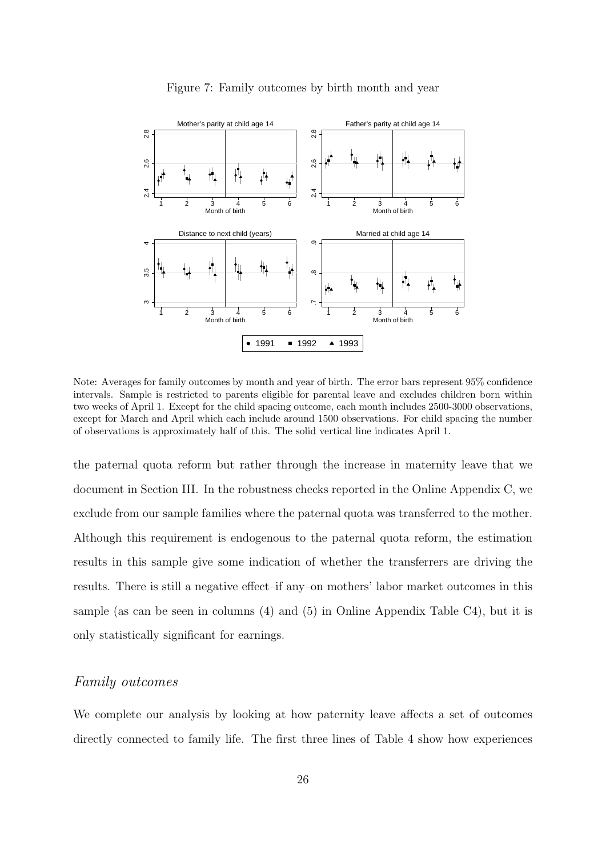

Figure 7: Family outcomes by birth month and year

Note: Averages for family outcomes by month and year of birth. The error bars represent 95% confidence intervals. Sample is restricted to parents eligible for parental leave and excludes children born within two weeks of April 1. Except for the child spacing outcome, each month includes 2500-3000 observations, except for March and April which each include around 1500 observations. For child spacing the number of observations is approximately half of this. The solid vertical line indicates April 1.

the paternal quota reform but rather through the increase in maternity leave that we document in Section III. In the robustness checks reported in the Online Appendix C, we exclude from our sample families where the paternal quota was transferred to the mother. Although this requirement is endogenous to the paternal quota reform, the estimation results in this sample give some indication of whether the transferrers are driving the results. There is still a negative effect–if any–on mothers' labor market outcomes in this sample (as can be seen in columns (4) and (5) in Online Appendix Table C4), but it is only statistically significant for earnings.

#### Family outcomes

We complete our analysis by looking at how paternity leave affects a set of outcomes directly connected to family life. The first three lines of Table 4 show how experiences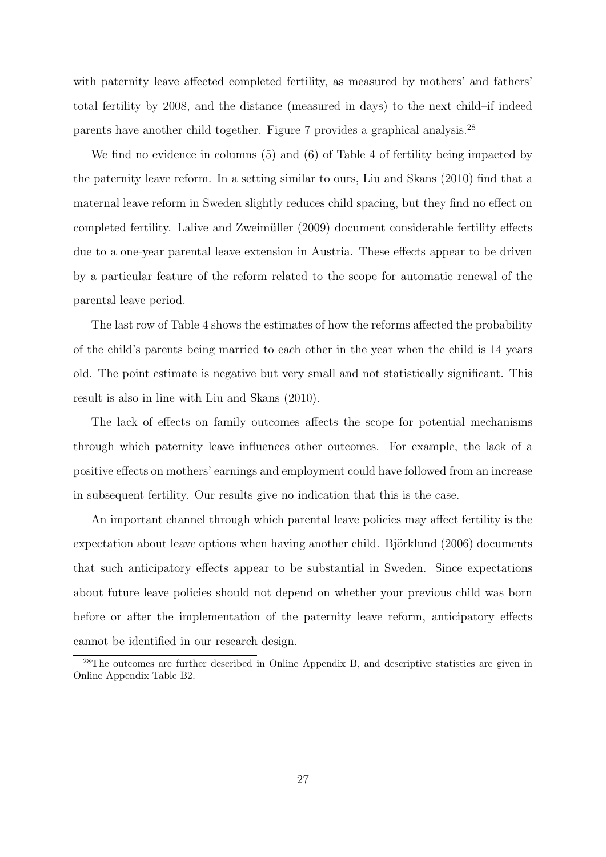with paternity leave affected completed fertility, as measured by mothers' and fathers' total fertility by 2008, and the distance (measured in days) to the next child–if indeed parents have another child together. Figure 7 provides a graphical analysis.<sup>28</sup>

We find no evidence in columns (5) and (6) of Table 4 of fertility being impacted by the paternity leave reform. In a setting similar to ours, Liu and Skans (2010) find that a maternal leave reform in Sweden slightly reduces child spacing, but they find no effect on completed fertility. Lalive and Zweimüller (2009) document considerable fertility effects due to a one-year parental leave extension in Austria. These effects appear to be driven by a particular feature of the reform related to the scope for automatic renewal of the parental leave period.

The last row of Table 4 shows the estimates of how the reforms affected the probability of the child's parents being married to each other in the year when the child is 14 years old. The point estimate is negative but very small and not statistically significant. This result is also in line with Liu and Skans (2010).

The lack of effects on family outcomes affects the scope for potential mechanisms through which paternity leave influences other outcomes. For example, the lack of a positive effects on mothers' earnings and employment could have followed from an increase in subsequent fertility. Our results give no indication that this is the case.

An important channel through which parental leave policies may affect fertility is the expectation about leave options when having another child. Björklund  $(2006)$  documents that such anticipatory effects appear to be substantial in Sweden. Since expectations about future leave policies should not depend on whether your previous child was born before or after the implementation of the paternity leave reform, anticipatory effects cannot be identified in our research design.

<sup>28</sup>The outcomes are further described in Online Appendix B, and descriptive statistics are given in Online Appendix Table B2.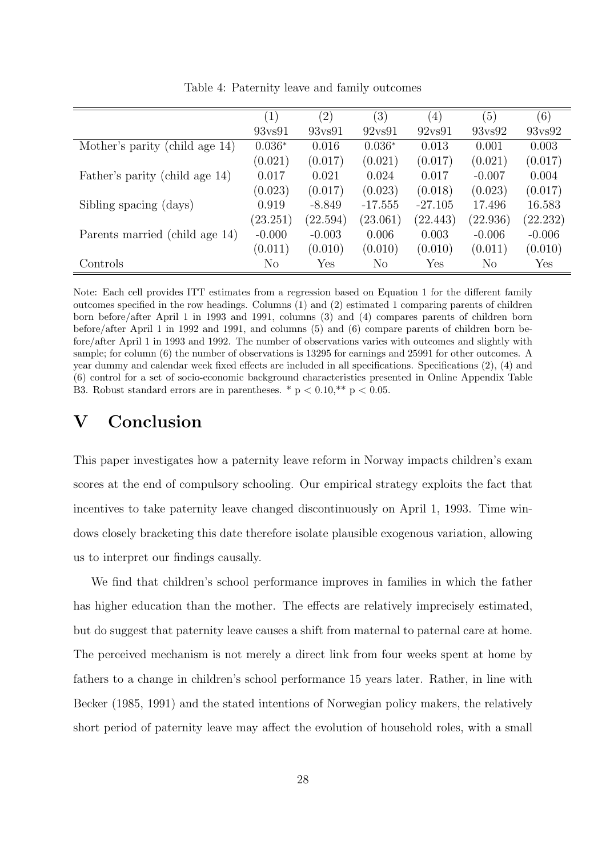|                                |          | (2)      | (3)               | $\left( 4\right)$ | (5)            | (6)             |
|--------------------------------|----------|----------|-------------------|-------------------|----------------|-----------------|
|                                | 93vs91   | 93vs91   | $92\mathrm{vs}91$ | $92\mathrm{vs}91$ | 93vs92         | $93\text{vs}92$ |
| Mother's parity (child age 14) | $0.036*$ | 0.016    | $0.036*$          | 0.013             | 0.001          | 0.003           |
|                                | (0.021)  | (0.017)  | (0.021)           | (0.017)           | (0.021)        | (0.017)         |
| Father's parity (child age 14) | 0.017    | 0.021    | 0.024             | 0.017             | $-0.007$       | 0.004           |
|                                | (0.023)  | (0.017)  | (0.023)           | (0.018)           | (0.023)        | (0.017)         |
| Sibling spacing (days)         | 0.919    | $-8.849$ | $-17.555$         | $-27.105$         | 17.496         | 16.583          |
|                                | (23.251) | (22.594) | (23.061)          | (22.443)          | (22.936)       | (22.232)        |
| Parents married (child age 14) | $-0.000$ | $-0.003$ | 0.006             | 0.003             | $-0.006$       | $-0.006$        |
|                                | (0.011)  | (0.010)  | (0.010)           | (0.010)           | (0.011)        | (0.010)         |
| Controls                       | $\rm No$ | Yes      | $\rm No$          | Yes               | N <sub>o</sub> | Yes             |

Table 4: Paternity leave and family outcomes

Note: Each cell provides ITT estimates from a regression based on Equation 1 for the different family outcomes specified in the row headings. Columns (1) and (2) estimated 1 comparing parents of children born before/after April 1 in 1993 and 1991, columns (3) and (4) compares parents of children born before/after April 1 in 1992 and 1991, and columns (5) and (6) compare parents of children born before/after April 1 in 1993 and 1992. The number of observations varies with outcomes and slightly with sample; for column (6) the number of observations is 13295 for earnings and 25991 for other outcomes. A year dummy and calendar week fixed effects are included in all specifications. Specifications (2), (4) and (6) control for a set of socio-economic background characteristics presented in Online Appendix Table B3. Robust standard errors are in parentheses. \*  $p < 0.10$ ,\*\*  $p < 0.05$ .

### V Conclusion

This paper investigates how a paternity leave reform in Norway impacts children's exam scores at the end of compulsory schooling. Our empirical strategy exploits the fact that incentives to take paternity leave changed discontinuously on April 1, 1993. Time windows closely bracketing this date therefore isolate plausible exogenous variation, allowing us to interpret our findings causally.

We find that children's school performance improves in families in which the father has higher education than the mother. The effects are relatively imprecisely estimated, but do suggest that paternity leave causes a shift from maternal to paternal care at home. The perceived mechanism is not merely a direct link from four weeks spent at home by fathers to a change in children's school performance 15 years later. Rather, in line with Becker (1985, 1991) and the stated intentions of Norwegian policy makers, the relatively short period of paternity leave may affect the evolution of household roles, with a small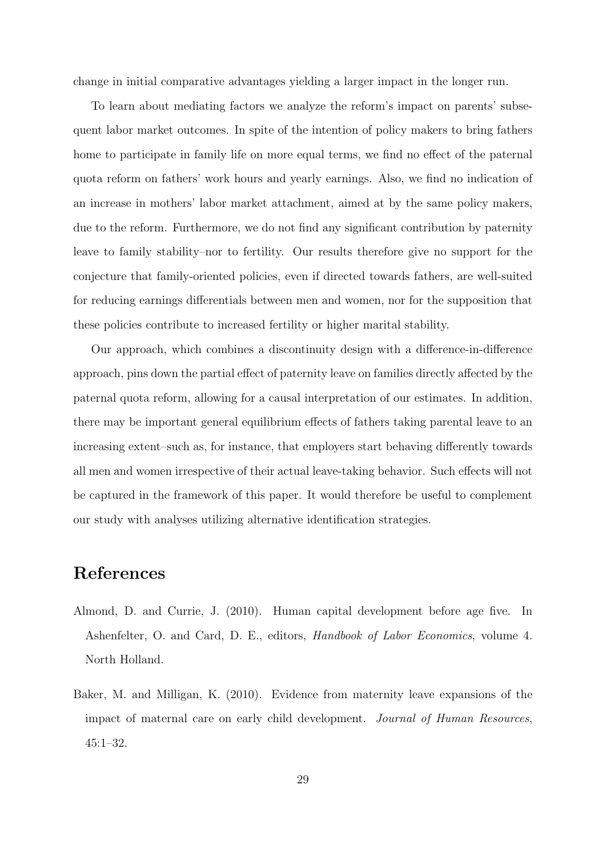change in initial comparative advantages yielding a larger impact in the longer run.

To learn about mediating factors we analyze the reform's impact on parents' subsequent labor market outcomes. In spite of the intention of policy makers to bring fathers home to participate in family life on more equal terms, we find no effect of the paternal quota reform on fathers' work hours and yearly earnings. Also, we find no indication of an increase in mothers' labor market attachment, aimed at by the same policy makers, due to the reform. Furthermore, we do not find any significant contribution by paternity leave to family stability–nor to fertility. Our results therefore give no support for the conjecture that family-oriented policies, even if directed towards fathers, are well-suited for reducing earnings differentials between men and women, nor for the supposition that these policies contribute to increased fertility or higher marital stability.

Our approach, which combines a discontinuity design with a difference-in-difference approach, pins down the partial effect of paternity leave on families directly affected by the paternal quota reform, allowing for a causal interpretation of our estimates. In addition, there may be important general equilibrium effects of fathers taking parental leave to an increasing extent–such as, for instance, that employers start behaving differently towards all men and women irrespective of their actual leave-taking behavior. Such effects will not be captured in the framework of this paper. It would therefore be useful to complement our study with analyses utilizing alternative identification strategies.

# References

- Almond, D. and Currie, J. (2010). Human capital development before age five. In Ashenfelter, O. and Card, D. E., editors, Handbook of Labor Economics, volume 4. North Holland.
- Baker, M. and Milligan, K. (2010). Evidence from maternity leave expansions of the impact of maternal care on early child development. Journal of Human Resources, 45:1–32.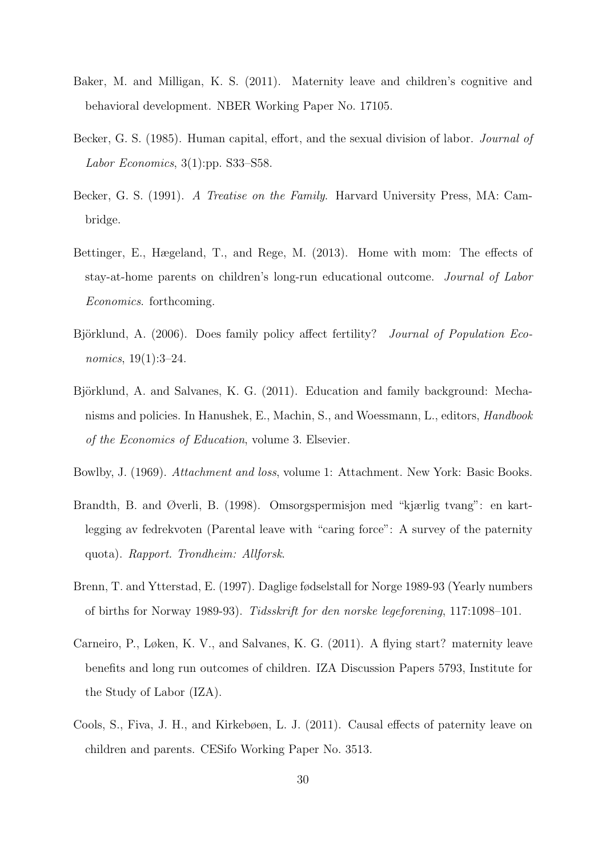- Baker, M. and Milligan, K. S. (2011). Maternity leave and children's cognitive and behavioral development. NBER Working Paper No. 17105.
- Becker, G. S. (1985). Human capital, effort, and the sexual division of labor. *Journal of* Labor Economics, 3(1):pp. S33–S58.
- Becker, G. S. (1991). A Treatise on the Family. Harvard University Press, MA: Cambridge.
- Bettinger, E., Hægeland, T., and Rege, M. (2013). Home with mom: The effects of stay-at-home parents on children's long-run educational outcome. Journal of Labor Economics. forthcoming.
- Björklund, A. (2006). Does family policy affect fertility? *Journal of Population Eco*nomics, 19(1):3–24.
- Björklund, A. and Salvanes, K. G. (2011). Education and family background: Mechanisms and policies. In Hanushek, E., Machin, S., and Woessmann, L., editors, Handbook of the Economics of Education, volume 3. Elsevier.
- Bowlby, J. (1969). Attachment and loss, volume 1: Attachment. New York: Basic Books.
- Brandth, B. and Øverli, B. (1998). Omsorgspermisjon med "kjærlig tvang": en kartlegging av fedrekvoten (Parental leave with "caring force": A survey of the paternity quota). Rapport. Trondheim: Allforsk.
- Brenn, T. and Ytterstad, E. (1997). Daglige fødselstall for Norge 1989-93 (Yearly numbers of births for Norway 1989-93). Tidsskrift for den norske legeforening, 117:1098–101.
- Carneiro, P., Løken, K. V., and Salvanes, K. G. (2011). A flying start? maternity leave benefits and long run outcomes of children. IZA Discussion Papers 5793, Institute for the Study of Labor (IZA).
- Cools, S., Fiva, J. H., and Kirkebøen, L. J. (2011). Causal effects of paternity leave on children and parents. CESifo Working Paper No. 3513.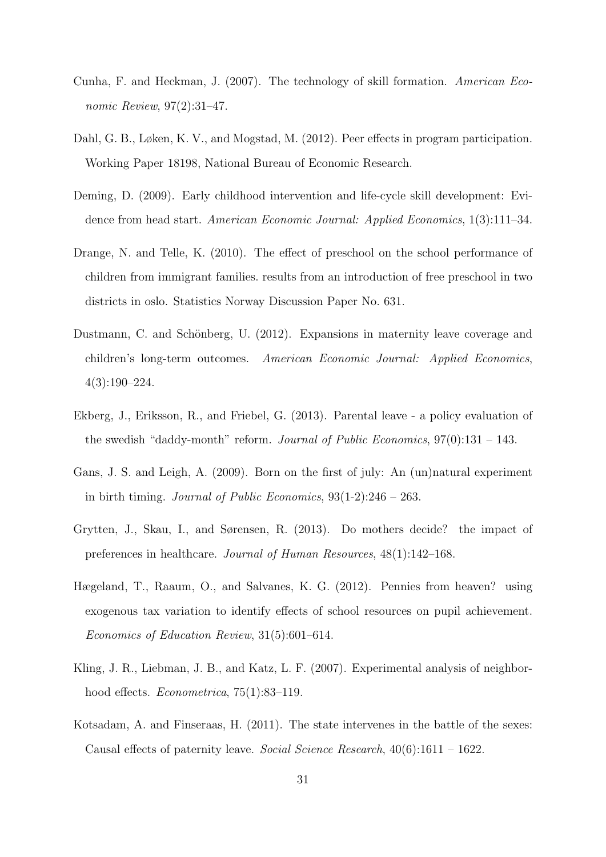- Cunha, F. and Heckman, J. (2007). The technology of skill formation. American Economic Review, 97(2):31–47.
- Dahl, G. B., Løken, K. V., and Mogstad, M. (2012). Peer effects in program participation. Working Paper 18198, National Bureau of Economic Research.
- Deming, D. (2009). Early childhood intervention and life-cycle skill development: Evidence from head start. American Economic Journal: Applied Economics, 1(3):111–34.
- Drange, N. and Telle, K. (2010). The effect of preschool on the school performance of children from immigrant families. results from an introduction of free preschool in two districts in oslo. Statistics Norway Discussion Paper No. 631.
- Dustmann, C. and Schönberg, U. (2012). Expansions in maternity leave coverage and children's long-term outcomes. American Economic Journal: Applied Economics, 4(3):190–224.
- Ekberg, J., Eriksson, R., and Friebel, G. (2013). Parental leave a policy evaluation of the swedish "daddy-month" reform. Journal of Public Economics,  $97(0)$ :131 – 143.
- Gans, J. S. and Leigh, A. (2009). Born on the first of july: An (un)natural experiment in birth timing. *Journal of Public Economics*,  $93(1-2)$ :246 – 263.
- Grytten, J., Skau, I., and Sørensen, R. (2013). Do mothers decide? the impact of preferences in healthcare. Journal of Human Resources, 48(1):142–168.
- Hægeland, T., Raaum, O., and Salvanes, K. G. (2012). Pennies from heaven? using exogenous tax variation to identify effects of school resources on pupil achievement. Economics of Education Review, 31(5):601–614.
- Kling, J. R., Liebman, J. B., and Katz, L. F. (2007). Experimental analysis of neighborhood effects. *Econometrica*, 75(1):83–119.
- Kotsadam, A. and Finseraas, H. (2011). The state intervenes in the battle of the sexes: Causal effects of paternity leave. Social Science Research, 40(6):1611 – 1622.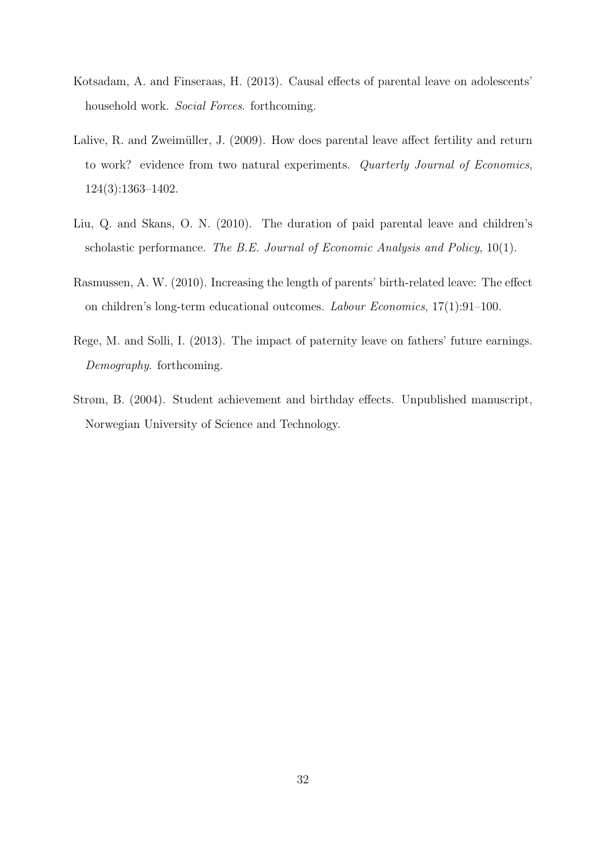- Kotsadam, A. and Finseraas, H. (2013). Causal effects of parental leave on adolescents' household work. Social Forces. forthcoming.
- Lalive, R. and Zweimüller, J. (2009). How does parental leave affect fertility and return to work? evidence from two natural experiments. Quarterly Journal of Economics, 124(3):1363–1402.
- Liu, Q. and Skans, O. N. (2010). The duration of paid parental leave and children's scholastic performance. The B.E. Journal of Economic Analysis and Policy, 10(1).
- Rasmussen, A. W. (2010). Increasing the length of parents' birth-related leave: The effect on children's long-term educational outcomes. Labour Economics, 17(1):91–100.
- Rege, M. and Solli, I. (2013). The impact of paternity leave on fathers' future earnings. Demography. forthcoming.
- Strøm, B. (2004). Student achievement and birthday effects. Unpublished manuscript, Norwegian University of Science and Technology.